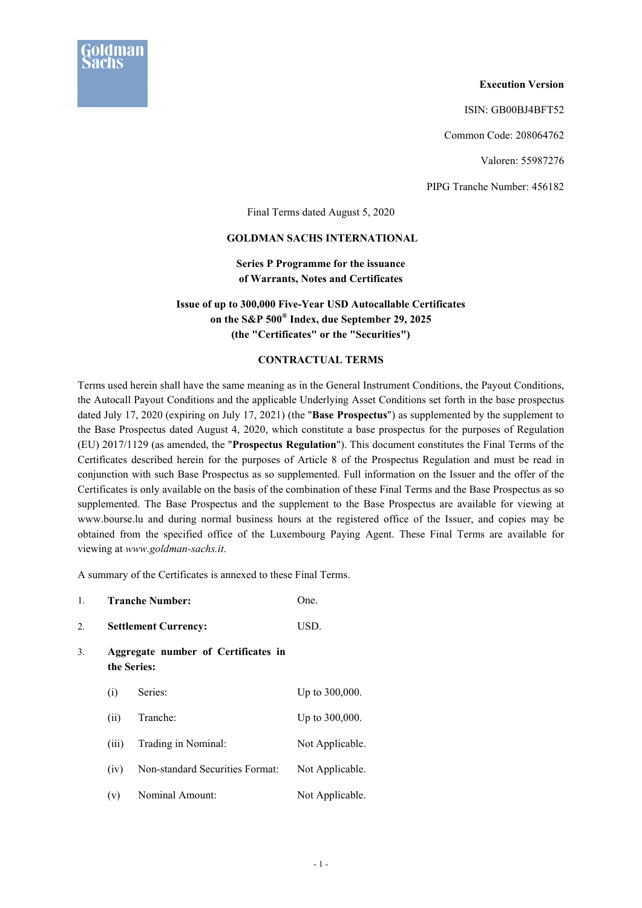

### **Execution Version**

ISIN: GB00BJ4BFT52

Common Code: 208064762

Valoren: 55987276

PIPG Tranche Number: 456182

Final Terms dated August 5, 2020

### **GOLDMAN SACHS INTERNATIONAL**

# **Series P Programme for the issuance of Warrants, Notes and Certificates**

# **Issue of up to 300,000 Five-Year USD Autocallable Certificates on the S&P 500® Index, due September 29, 2025 (the "Certificates" or the "Securities")**

# **CONTRACTUAL TERMS**

Terms used herein shall have the same meaning as in the General Instrument Conditions, the Payout Conditions, the Autocall Payout Conditions and the applicable Underlying Asset Conditions set forth in the base prospectus dated July 17, 2020 (expiring on July 17, 2021) (the "**Base Prospectus**") as supplemented by the supplement to the Base Prospectus dated August 4, 2020, which constitute a base prospectus for the purposes of Regulation (EU) 2017/1129 (as amended, the "**Prospectus Regulation**"). This document constitutes the Final Terms of the Certificates described herein for the purposes of Article 8 of the Prospectus Regulation and must be read in conjunction with such Base Prospectus as so supplemented. Full information on the Issuer and the offer of the Certificates is only available on the basis of the combination of these Final Terms and the Base Prospectus as so supplemented. The Base Prospectus and the supplement to the Base Prospectus are available for viewing at www.bourse.lu and during normal business hours at the registered office of the Issuer, and copies may be obtained from the specified office of the Luxembourg Paying Agent. These Final Terms are available for viewing at *www.goldman-sachs.it*.

A summary of the Certificates is annexed to these Final Terms.

| 1. |       | <b>Tranche Number:</b>                             | One.            |  |  |  |
|----|-------|----------------------------------------------------|-----------------|--|--|--|
| 2. |       | <b>Settlement Currency:</b>                        | USD.            |  |  |  |
| 3. |       | Aggregate number of Certificates in<br>the Series: |                 |  |  |  |
|    | (i)   | Series:                                            | Up to 300,000.  |  |  |  |
|    | (ii)  | Tranche:                                           | Up to 300,000.  |  |  |  |
|    | (iii) | Trading in Nominal:                                | Not Applicable. |  |  |  |
|    | (iv)  | Non-standard Securities Format:                    | Not Applicable. |  |  |  |
|    | (v)   | Nominal Amount:                                    | Not Applicable. |  |  |  |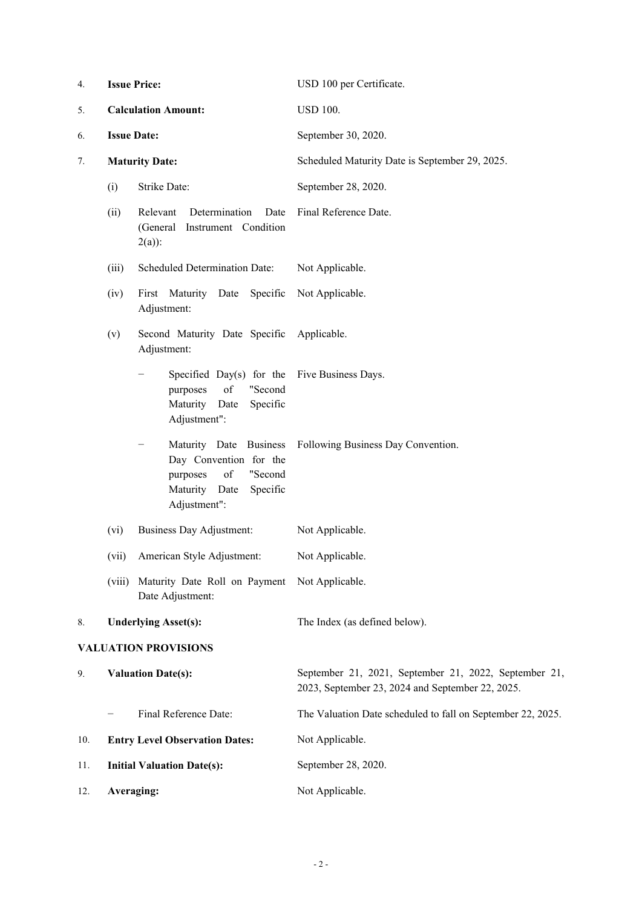| 4.  | <b>Issue Price:</b>        |                                                                                                                            | USD 100 per Certificate.                                                                                  |
|-----|----------------------------|----------------------------------------------------------------------------------------------------------------------------|-----------------------------------------------------------------------------------------------------------|
| 5.  | <b>Calculation Amount:</b> |                                                                                                                            | <b>USD 100.</b>                                                                                           |
| 6.  | <b>Issue Date:</b>         |                                                                                                                            | September 30, 2020.                                                                                       |
| 7.  |                            | <b>Maturity Date:</b>                                                                                                      | Scheduled Maturity Date is September 29, 2025.                                                            |
|     | (i)                        | Strike Date:                                                                                                               | September 28, 2020.                                                                                       |
|     | (ii)                       | Determination<br>Relevant<br>Date<br>(General<br>Instrument Condition<br>$2(a)$ :                                          | Final Reference Date.                                                                                     |
|     | (iii)                      | Scheduled Determination Date:                                                                                              | Not Applicable.                                                                                           |
|     | (iv)                       | First Maturity Date<br>Specific<br>Adjustment:                                                                             | Not Applicable.                                                                                           |
|     | (v)                        | Second Maturity Date Specific<br>Adjustment:                                                                               | Applicable.                                                                                               |
|     |                            | Specified Day(s) for the<br>of<br>"Second<br>purposes<br>Maturity Date<br>Specific<br>Adjustment":                         | Five Business Days.                                                                                       |
|     |                            | Maturity Date Business<br>Day Convention for the<br>of<br>"Second<br>purposes<br>Maturity Date<br>Specific<br>Adjustment": | Following Business Day Convention.                                                                        |
|     | (vi)                       | <b>Business Day Adjustment:</b>                                                                                            | Not Applicable.                                                                                           |
|     | (vii)                      | American Style Adjustment:                                                                                                 | Not Applicable.                                                                                           |
|     | (viii)                     | Maturity Date Roll on Payment<br>Date Adjustment:                                                                          | Not Applicable.                                                                                           |
| 8.  |                            | <b>Underlying Asset(s):</b>                                                                                                | The Index (as defined below).                                                                             |
|     |                            | <b>VALUATION PROVISIONS</b>                                                                                                |                                                                                                           |
| 9.  | <b>Valuation Date(s):</b>  |                                                                                                                            | September 21, 2021, September 21, 2022, September 21,<br>2023, September 23, 2024 and September 22, 2025. |
|     |                            | Final Reference Date:                                                                                                      | The Valuation Date scheduled to fall on September 22, 2025.                                               |
| 10. |                            | <b>Entry Level Observation Dates:</b>                                                                                      | Not Applicable.                                                                                           |
| 11. |                            | <b>Initial Valuation Date(s):</b>                                                                                          | September 28, 2020.                                                                                       |
| 12. | Averaging:                 |                                                                                                                            | Not Applicable.                                                                                           |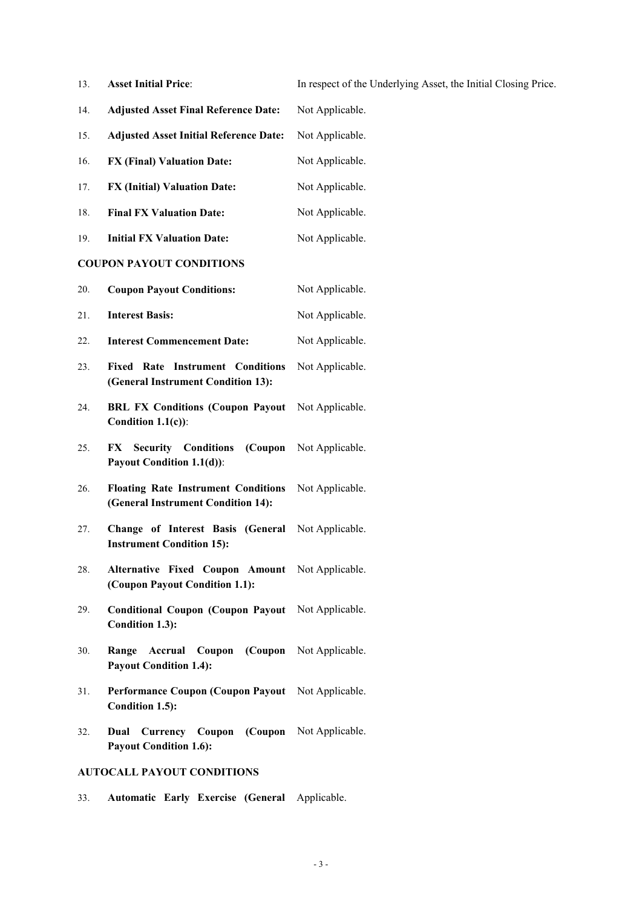13. **Asset Initial Price**: In respect of the Underlying Asset, the Initial Closing Price.

- 14. **Adjusted Asset Final Reference Date:** Not Applicable.
- 15. **Adjusted Asset Initial Reference Date:** Not Applicable.
- 16. **FX (Final) Valuation Date:** Not Applicable.
- 17. **FX (Initial) Valuation Date:** Not Applicable.
- 18. **Final FX Valuation Date:** Not Applicable.
- 19. **Initial FX Valuation Date:** Not Applicable.

# **COUPON PAYOUT CONDITIONS**

- 20. **Coupon Payout Conditions:** Not Applicable.
- 21. **Interest Basis:** Not Applicable.
- 22. **Interest Commencement Date:** Not Applicable.
- 23. **Fixed Rate Instrument Conditions (General Instrument Condition 13):** Not Applicable.
- 24. **BRL FX Conditions (Coupon Payout**  Not Applicable. **Condition 1.1(c))**:
- 25. **FX Security Conditions (Coupon Payout Condition 1.1(d))**: Not Applicable.
- 26. **Floating Rate Instrument Conditions (General Instrument Condition 14):** Not Applicable.
- 27. **Change of Interest Basis (General**  Not Applicable. **Instrument Condition 15):**
- 28. **Alternative Fixed Coupon Amount (Coupon Payout Condition 1.1):** Not Applicable.
- 29. **Conditional Coupon (Coupon Payout**  Not Applicable. **Condition 1.3):**
- 30. **Range Accrual Coupon (Coupon**  Not Applicable. **Payout Condition 1.4):**
- 31. **Performance Coupon (Coupon Payout**  Not Applicable. **Condition 1.5):**
- 32. **Dual Currency Coupon (Coupon**  Not Applicable. **Payout Condition 1.6):**

# **AUTOCALL PAYOUT CONDITIONS**

33. **Automatic Early Exercise (General** Applicable.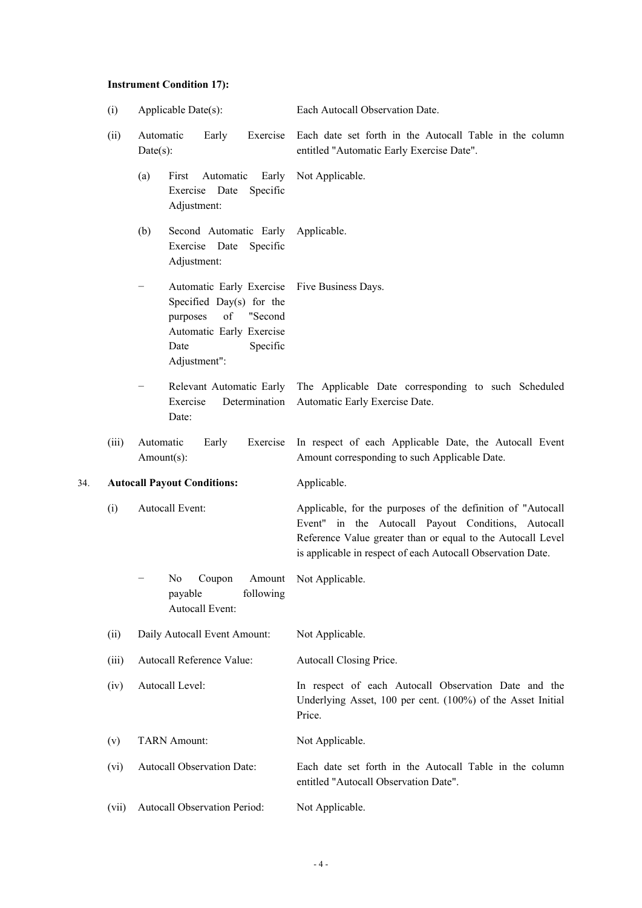# **Instrument Condition 17):**

|     | (i)   | Applicable Date(s):                                                                                                                                                    | Each Autocall Observation Date.                                                                                                                                                                                                                 |
|-----|-------|------------------------------------------------------------------------------------------------------------------------------------------------------------------------|-------------------------------------------------------------------------------------------------------------------------------------------------------------------------------------------------------------------------------------------------|
|     | (ii)  | Automatic<br>Exercise<br>Early<br>$Date(s)$ :                                                                                                                          | Each date set forth in the Autocall Table in the column<br>entitled "Automatic Early Exercise Date".                                                                                                                                            |
|     |       | Early<br>(a)<br>First<br>Automatic<br>Exercise Date<br>Specific<br>Adjustment:                                                                                         | Not Applicable.                                                                                                                                                                                                                                 |
|     |       | Second Automatic Early<br>(b)<br>Exercise Date<br>Specific<br>Adjustment:                                                                                              | Applicable.                                                                                                                                                                                                                                     |
|     |       | Automatic Early Exercise<br>$\qquad \qquad -$<br>Specified Day(s) for the<br>of<br>"Second<br>purposes<br>Automatic Early Exercise<br>Specific<br>Date<br>Adjustment": | Five Business Days.                                                                                                                                                                                                                             |
|     |       | Relevant Automatic Early<br>Exercise<br>Determination<br>Date:                                                                                                         | The Applicable Date corresponding to such Scheduled<br>Automatic Early Exercise Date.                                                                                                                                                           |
|     | (iii) | Automatic<br>Early<br>Exercise<br>Amount(s):                                                                                                                           | In respect of each Applicable Date, the Autocall Event<br>Amount corresponding to such Applicable Date.                                                                                                                                         |
| 34. |       | <b>Autocall Payout Conditions:</b>                                                                                                                                     | Applicable.                                                                                                                                                                                                                                     |
|     | (i)   | Autocall Event:                                                                                                                                                        | Applicable, for the purposes of the definition of "Autocall<br>Event" in the Autocall Payout Conditions, Autocall<br>Reference Value greater than or equal to the Autocall Level<br>is applicable in respect of each Autocall Observation Date. |
|     |       | N <sub>0</sub><br>Coupon<br>Amount<br>payable<br>following<br>Autocall Event:                                                                                          | Not Applicable.                                                                                                                                                                                                                                 |
|     | (ii)  | Daily Autocall Event Amount:                                                                                                                                           | Not Applicable.                                                                                                                                                                                                                                 |
|     | (iii) | Autocall Reference Value:                                                                                                                                              | Autocall Closing Price.                                                                                                                                                                                                                         |
|     | (iv)  | Autocall Level:                                                                                                                                                        | In respect of each Autocall Observation Date and the<br>Underlying Asset, 100 per cent. (100%) of the Asset Initial<br>Price.                                                                                                                   |
|     | (v)   | <b>TARN Amount:</b>                                                                                                                                                    | Not Applicable.                                                                                                                                                                                                                                 |
|     | (vi)  | Autocall Observation Date:                                                                                                                                             | Each date set forth in the Autocall Table in the column<br>entitled "Autocall Observation Date".                                                                                                                                                |
|     | (vii) | Autocall Observation Period:                                                                                                                                           | Not Applicable.                                                                                                                                                                                                                                 |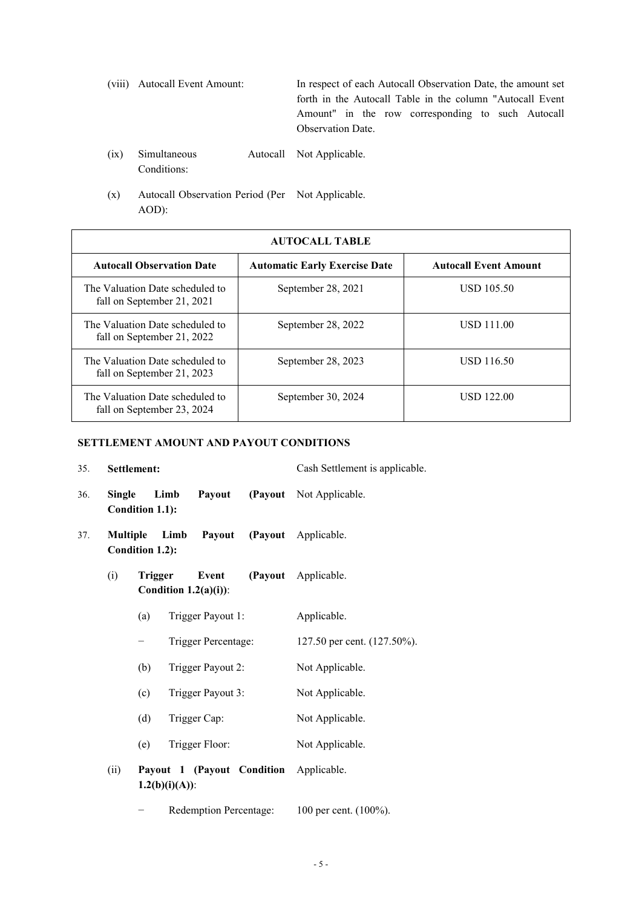(viii) Autocall Event Amount: In respect of each Autocall Observation Date, the amount set forth in the Autocall Table in the column "Autocall Event Amount" in the row corresponding to such Autocall Observation Date.

- $(ix)$  Simultaneous Conditions: Autocall Not Applicable.
- (x) Autocall Observation Period (Per Not Applicable. AOD):

| <b>AUTOCALL TABLE</b>                                         |                                      |                              |  |  |
|---------------------------------------------------------------|--------------------------------------|------------------------------|--|--|
| <b>Autocall Observation Date</b>                              | <b>Automatic Early Exercise Date</b> | <b>Autocall Event Amount</b> |  |  |
| The Valuation Date scheduled to<br>fall on September 21, 2021 | September 28, 2021                   | <b>USD 105.50</b>            |  |  |
| The Valuation Date scheduled to<br>fall on September 21, 2022 | September 28, 2022                   | <b>USD 111.00</b>            |  |  |
| The Valuation Date scheduled to<br>fall on September 21, 2023 | September 28, 2023                   | USD 116.50                   |  |  |
| The Valuation Date scheduled to<br>fall on September 23, 2024 | September 30, 2024                   | <b>USD 122.00</b>            |  |  |

# **SETTLEMENT AMOUNT AND PAYOUT CONDITIONS**

| 35. |                 | Settlement:     |                   |                                  |                            | Cash Settlement is applicable. |
|-----|-----------------|-----------------|-------------------|----------------------------------|----------------------------|--------------------------------|
| 36. | <b>Single</b>   | Condition 1.1): | Limb              | Payout                           |                            | (Payout Not Applicable.        |
| 37. | <b>Multiple</b> | Condition 1.2): | Limb              | Payout                           |                            | (Payout Applicable.            |
|     | (i)             | Trigger         |                   | Event<br>Condition $1.2(a)(i)$ : |                            | (Payout Applicable.            |
|     |                 | (a)             |                   | Trigger Payout 1:                |                            | Applicable.                    |
|     |                 | -               |                   | Trigger Percentage:              |                            | 127.50 per cent. (127.50%).    |
|     |                 | (b)             |                   | Trigger Payout 2:                |                            | Not Applicable.                |
|     |                 | (c)             |                   | Trigger Payout 3:                |                            | Not Applicable.                |
|     |                 | (d)             |                   | Trigger Cap:                     |                            | Not Applicable.                |
|     |                 | (e)             |                   | Trigger Floor:                   |                            | Not Applicable.                |
|     | (ii)            |                 | $1.2(b)(i)(A))$ : |                                  | Payout 1 (Payout Condition | Applicable.                    |
|     |                 |                 |                   | Redemption Percentage:           |                            | 100 per cent. (100%).          |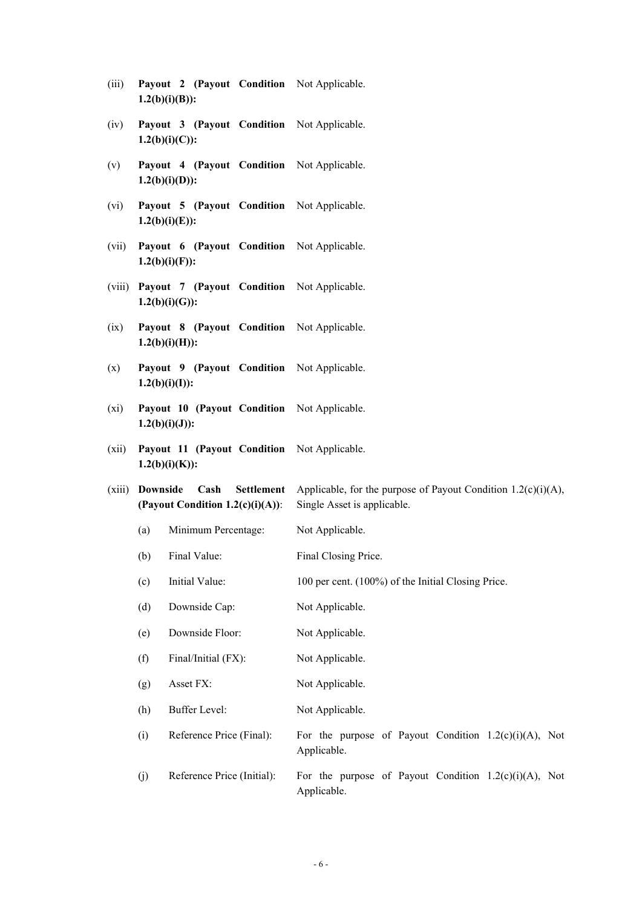| (iii) |                   |  | <b>Payout 2 (Payout Condition</b> Not Applicable. |
|-------|-------------------|--|---------------------------------------------------|
|       | $1.2(b)(i)(B))$ : |  |                                                   |

- (iv) **Payout 3 (Payout Condition**  Not Applicable. **1.2(b)(i)(C)):**
- (v) **Payout 4 (Payout Condition 1.2(b)(i)(D)):** Not Applicable.
- (vi) **Payout 5 (Payout Condition 1.2(b)(i)(E)):** Not Applicable.
- (vii) **Payout 6 (Payout Condition 1.2(b)(i)(F)):** Not Applicable.
- (viii) **Payout 7 (Payout Condition 1.2(b)(i)(G)):** Not Applicable.
- (ix) **Payout 8 (Payout Condition 1.2(b)(i)(H)):** Not Applicable.
- (x) **Payout 9 (Payout Condition 1.2(b)(i)(I)):** Not Applicable.
- (xi) **Payout 10 (Payout Condition 1.2(b)(i)(J)):** Not Applicable.
- (xii) **Payout 11 (Payout Condition 1.2(b)(i)(K)):** Not Applicable.
- (xiii) **Downside Cash Settlement (Payout Condition 1.2(c)(i)(A))**: Applicable, for the purpose of Payout Condition  $1.2(c)(i)(A)$ , Single Asset is applicable.
	- (a) Minimum Percentage: Not Applicable.
	- (b) Final Value: Final Closing Price.
	- (c) Initial Value: 100 per cent. (100%) of the Initial Closing Price.
	- (d) Downside Cap: Not Applicable.
	- (e) Downside Floor: Not Applicable.
	- (f) Final/Initial (FX): Not Applicable.
	- (g) Asset FX: Not Applicable.
	- (h) Buffer Level: Not Applicable.
	- (i) Reference Price (Final): For the purpose of Payout Condition  $1.2(c)(i)(A)$ , Not Applicable.
	- (i) Reference Price (Initial): For the purpose of Payout Condition  $1.2(c)(i)(A)$ , Not Applicable.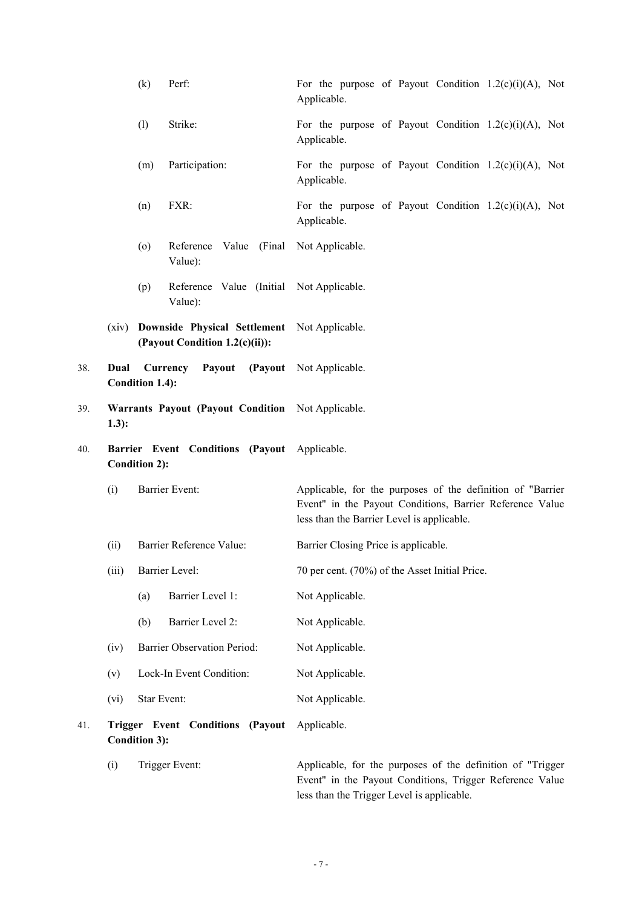|     |         | (k)                  | Perf:                                                                          | For the purpose of Payout Condition $1.2(c)(i)(A)$ , Not<br>Applicable.                                                                                              |
|-----|---------|----------------------|--------------------------------------------------------------------------------|----------------------------------------------------------------------------------------------------------------------------------------------------------------------|
|     |         | (1)                  | Strike:                                                                        | For the purpose of Payout Condition $1.2(c)(i)(A)$ , Not<br>Applicable.                                                                                              |
|     |         | (m)                  | Participation:                                                                 | For the purpose of Payout Condition $1.2(c)(i)(A)$ , Not<br>Applicable.                                                                                              |
|     |         | (n)                  | FXR:                                                                           | For the purpose of Payout Condition $1.2(c)(i)(A)$ , Not<br>Applicable.                                                                                              |
|     |         | $\left( 0 \right)$   | Reference<br>Value):                                                           | Value (Final Not Applicable.                                                                                                                                         |
|     |         | (p)                  | Reference Value (Initial Not Applicable.<br>Value):                            |                                                                                                                                                                      |
|     | (xiv)   |                      | Downside Physical Settlement Not Applicable.<br>(Payout Condition 1.2(c)(ii)): |                                                                                                                                                                      |
| 38. | Dual    | Condition 1.4):      | Currency<br>Payout                                                             | (Payout Not Applicable.                                                                                                                                              |
| 39. | $1.3$ : |                      | Warrants Payout (Payout Condition Not Applicable.                              |                                                                                                                                                                      |
| 40. |         | <b>Condition 2):</b> | Barrier Event Conditions (Payout Applicable.                                   |                                                                                                                                                                      |
|     | (i)     |                      | Barrier Event:                                                                 | Applicable, for the purposes of the definition of "Barrier<br>Event" in the Payout Conditions, Barrier Reference Value<br>less than the Barrier Level is applicable. |
|     | (ii)    |                      | Barrier Reference Value:                                                       | Barrier Closing Price is applicable.                                                                                                                                 |
|     | (iii)   |                      | Barrier Level:                                                                 | 70 per cent. (70%) of the Asset Initial Price.                                                                                                                       |
|     |         | (a)                  | Barrier Level 1:                                                               | Not Applicable.                                                                                                                                                      |
|     |         | (b)                  | Barrier Level 2:                                                               | Not Applicable.                                                                                                                                                      |
|     | (iv)    |                      | Barrier Observation Period:                                                    | Not Applicable.                                                                                                                                                      |
|     | (v)     |                      | Lock-In Event Condition:                                                       | Not Applicable.                                                                                                                                                      |
|     | (vi)    | Star Event:          |                                                                                | Not Applicable.                                                                                                                                                      |
| 41. |         | <b>Condition 3):</b> | Trigger Event Conditions (Payout                                               | Applicable.                                                                                                                                                          |
|     | (i)     |                      | Trigger Event:                                                                 | Applicable, for the purposes of the definition of "Trigger<br>Event" in the Payout Conditions, Trigger Reference Value                                               |

- 7 -

less than the Trigger Level is applicable.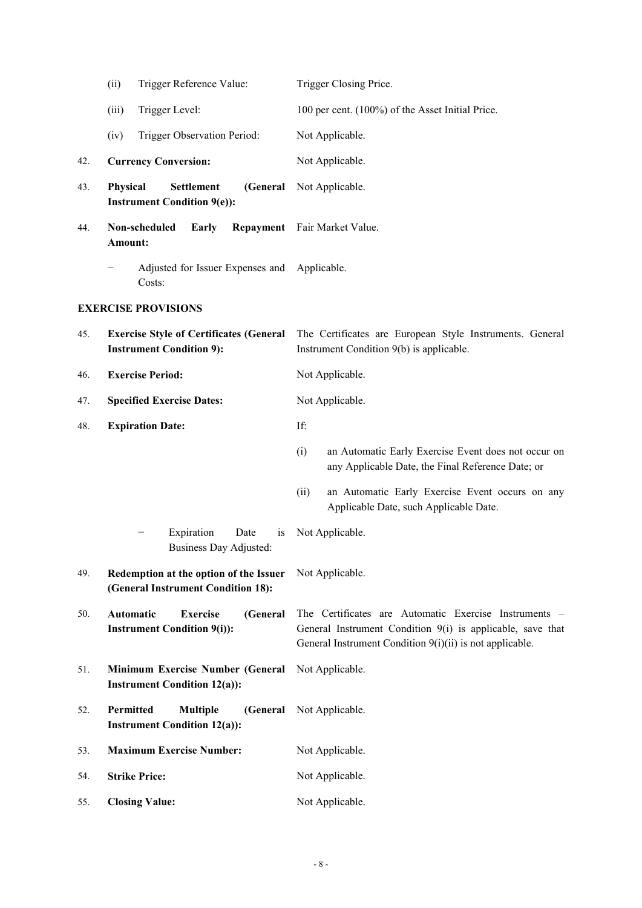|     | Trigger Reference Value:<br>(ii)                                                  | Trigger Closing Price.                                                                                                                                                          |  |
|-----|-----------------------------------------------------------------------------------|---------------------------------------------------------------------------------------------------------------------------------------------------------------------------------|--|
|     | Trigger Level:<br>(iii)                                                           | 100 per cent. (100%) of the Asset Initial Price.                                                                                                                                |  |
|     | Trigger Observation Period:<br>(iv)                                               | Not Applicable.                                                                                                                                                                 |  |
| 42. | <b>Currency Conversion:</b>                                                       | Not Applicable.                                                                                                                                                                 |  |
| 43. | Physical<br><b>Settlement</b><br>(General<br><b>Instrument Condition 9(e)):</b>   | Not Applicable.                                                                                                                                                                 |  |
| 44. | Non-scheduled<br>Early<br>Amount:                                                 | Repayment Fair Market Value.                                                                                                                                                    |  |
|     | Adjusted for Issuer Expenses and Applicable.<br>Costs:                            |                                                                                                                                                                                 |  |
|     | <b>EXERCISE PROVISIONS</b>                                                        |                                                                                                                                                                                 |  |
| 45. | <b>Exercise Style of Certificates (General</b><br><b>Instrument Condition 9):</b> | The Certificates are European Style Instruments. General<br>Instrument Condition 9(b) is applicable.                                                                            |  |
| 46. | <b>Exercise Period:</b>                                                           | Not Applicable.                                                                                                                                                                 |  |
| 47. | <b>Specified Exercise Dates:</b>                                                  | Not Applicable.                                                                                                                                                                 |  |
| 48. | <b>Expiration Date:</b>                                                           | If:                                                                                                                                                                             |  |
|     |                                                                                   | an Automatic Early Exercise Event does not occur on<br>(i)<br>any Applicable Date, the Final Reference Date; or                                                                 |  |
|     |                                                                                   | an Automatic Early Exercise Event occurs on any<br>(ii)<br>Applicable Date, such Applicable Date.                                                                               |  |
|     | Expiration<br>Date<br>1S<br>Business Day Adjusted:                                | Not Applicable.                                                                                                                                                                 |  |
| 49. | Redemption at the option of the Issuer<br>(General Instrument Condition 18):      | Not Applicable.                                                                                                                                                                 |  |
| 50. | Automatic<br><b>Exercise</b><br>(General<br><b>Instrument Condition 9(i)):</b>    | The Certificates are Automatic Exercise Instruments -<br>General Instrument Condition 9(i) is applicable, save that<br>General Instrument Condition 9(i)(ii) is not applicable. |  |
| 51. | Minimum Exercise Number (General<br><b>Instrument Condition 12(a)):</b>           | Not Applicable.                                                                                                                                                                 |  |
| 52. | Permitted<br><b>Multiple</b><br>(General<br><b>Instrument Condition 12(a)):</b>   | Not Applicable.                                                                                                                                                                 |  |
| 53. | <b>Maximum Exercise Number:</b>                                                   | Not Applicable.                                                                                                                                                                 |  |
| 54. | <b>Strike Price:</b>                                                              | Not Applicable.                                                                                                                                                                 |  |
| 55. | <b>Closing Value:</b>                                                             | Not Applicable.                                                                                                                                                                 |  |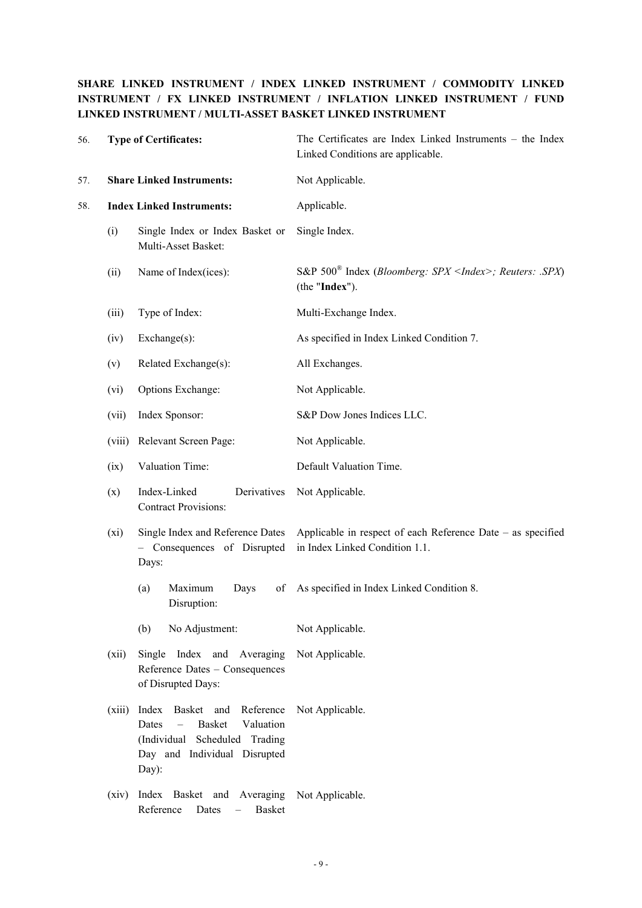# **SHARE LINKED INSTRUMENT / INDEX LINKED INSTRUMENT / COMMODITY LINKED INSTRUMENT / FX LINKED INSTRUMENT / INFLATION LINKED INSTRUMENT / FUND LINKED INSTRUMENT / MULTI-ASSET BASKET LINKED INSTRUMENT**

| 56. |        | <b>Type of Certificates:</b>                                                                                                                            | The Certificates are Index Linked Instruments - the Index<br>Linked Conditions are applicable.<br>Not Applicable. |  |
|-----|--------|---------------------------------------------------------------------------------------------------------------------------------------------------------|-------------------------------------------------------------------------------------------------------------------|--|
| 57. |        | <b>Share Linked Instruments:</b>                                                                                                                        |                                                                                                                   |  |
| 58. |        | <b>Index Linked Instruments:</b>                                                                                                                        | Applicable.                                                                                                       |  |
|     | (i)    | Single Index or Index Basket or<br>Multi-Asset Basket:                                                                                                  | Single Index.                                                                                                     |  |
|     | (ii)   | Name of Index(ices):                                                                                                                                    | S&P $500^{\circ}$ Index ( <i>Bloomberg: SPX <index>; Reuters: SPX</index></i> )<br>(the "Index").                 |  |
|     | (iii)  | Type of Index:                                                                                                                                          | Multi-Exchange Index.                                                                                             |  |
|     | (iv)   | Exchange(s):                                                                                                                                            | As specified in Index Linked Condition 7.                                                                         |  |
|     | (v)    | Related Exchange(s):                                                                                                                                    | All Exchanges.                                                                                                    |  |
|     | (vi)   | Options Exchange:                                                                                                                                       | Not Applicable.                                                                                                   |  |
|     | (vii)  | Index Sponsor:                                                                                                                                          | S&P Dow Jones Indices LLC.                                                                                        |  |
|     | (viii) | Relevant Screen Page:                                                                                                                                   | Not Applicable.                                                                                                   |  |
|     | (ix)   | Valuation Time:                                                                                                                                         | Default Valuation Time.                                                                                           |  |
|     | (x)    | Index-Linked<br>Derivatives<br><b>Contract Provisions:</b>                                                                                              | Not Applicable.                                                                                                   |  |
|     | (xi)   | Single Index and Reference Dates<br>- Consequences of Disrupted<br>Days:                                                                                | Applicable in respect of each Reference Date – as specified<br>in Index Linked Condition 1.1.                     |  |
|     |        | Maximum<br>(a)<br>Days<br>of<br>Disruption:                                                                                                             | As specified in Index Linked Condition 8.                                                                         |  |
|     |        | No Adjustment:<br>(b)                                                                                                                                   | Not Applicable.                                                                                                   |  |
|     | (xii)  | Single<br>Index and Averaging<br>Reference Dates - Consequences<br>of Disrupted Days:                                                                   | Not Applicable.                                                                                                   |  |
|     | (xiii) | Reference<br>Index<br>Basket<br>and<br><b>Basket</b><br>Valuation<br>Dates<br>Scheduled Trading<br>(Individual<br>Day and Individual Disrupted<br>Day): | Not Applicable.                                                                                                   |  |
|     | (xiv)  | Index Basket and Averaging<br>Reference<br>Dates<br><b>Basket</b><br>$\overline{\phantom{0}}$                                                           | Not Applicable.                                                                                                   |  |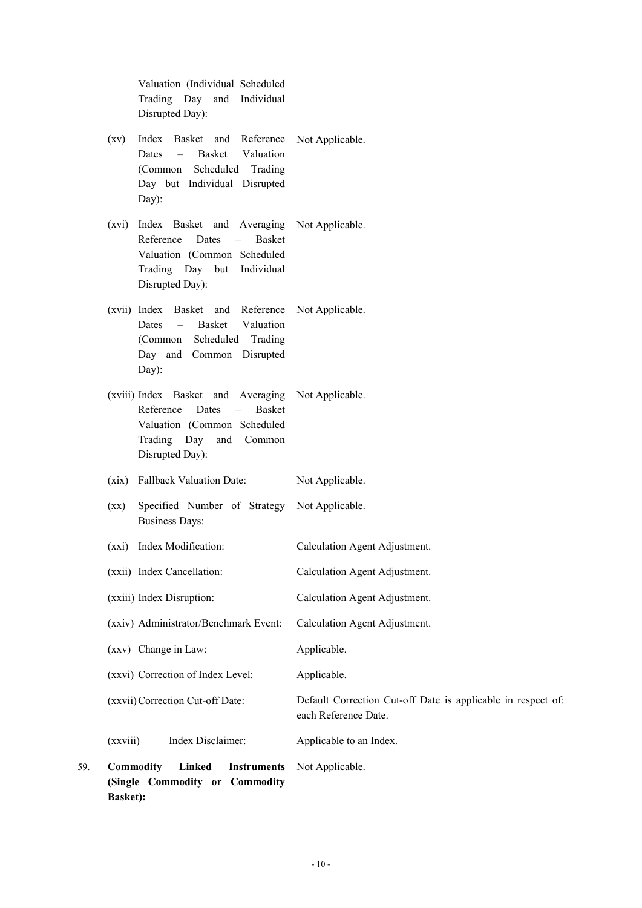Valuation (Individual Scheduled Trading Day and Individual Disrupted Day):

- (xv) Index Basket and Reference Dates – Basket Valuation (Common Scheduled Trading Day but Individual Disrupted Day): Not Applicable.
- (xvi) Index Basket and Averaging Reference Dates – Basket Valuation (Common Scheduled Trading Day but Individual Disrupted Day): Not Applicable.
- (xvii) Index Basket and Reference Dates – Basket Valuation (Common Scheduled Trading Day and Common Disrupted Day): Not Applicable.
- (xviii) Index Basket and Averaging Reference Dates – Basket Valuation (Common Scheduled Trading Day and Common Disrupted Day): Not Applicable.
- (xix) Fallback Valuation Date: Not Applicable.
- (xx) Specified Number of Strategy Business Days: Not Applicable.
- (xxi) Index Modification: Calculation Agent Adjustment.
- (xxii) Index Cancellation: Calculation Agent Adjustment.
- (xxiii) Index Disruption: Calculation Agent Adjustment.
- (xxiv) Administrator/Benchmark Event: Calculation Agent Adjustment.
- (xxv) Change in Law: Applicable.
- (xxvi) Correction of Index Level: Applicable.
- (xxvii)Correction Cut-off Date: Default Correction Cut-off Date is applicable in respect of:
- each Reference Date.
- (xxviii) Index Disclaimer: Applicable to an Index.
- 59. **Commodity Linked Instruments (Single Commodity or Commodity Basket):** Not Applicable.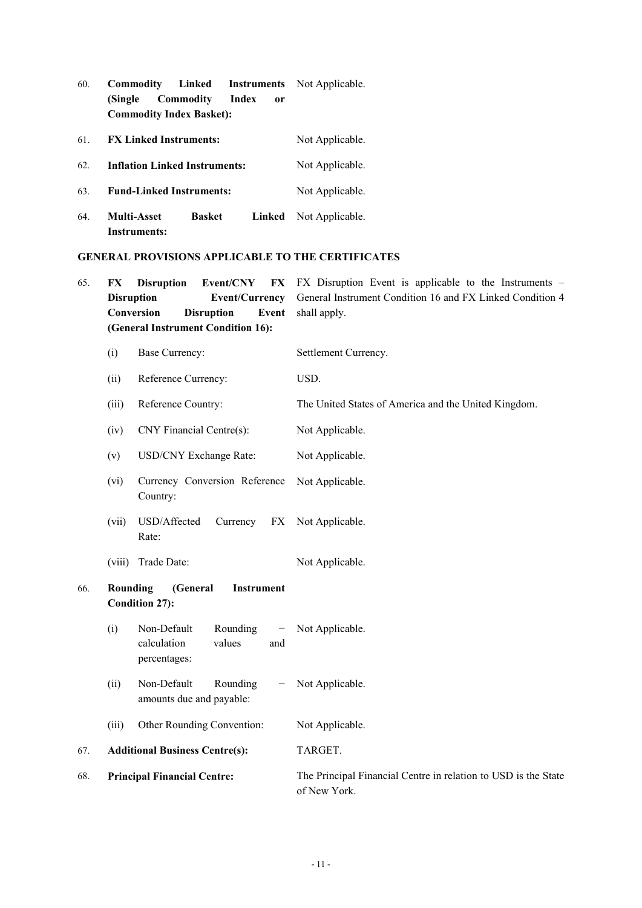- 60. **Commodity Linked Instruments**  Not Applicable. **(Single Commodity Index or Commodity Index Basket):**
- 61. **FX Linked Instruments:** Not Applicable.

62. **Inflation Linked Instruments:** Not Applicable.

- 63. **Fund-Linked Instruments:** Not Applicable.
- 64. **Multi-Asset Basket Instruments:** Linked Not Applicable.

# **GENERAL PROVISIONS APPLICABLE TO THE CERTIFICATES**

| 65. | FX                                                                        | <b>Disruption</b><br>Event/CNY<br>FX<br><b>Disruption</b><br><b>Event/Currency</b><br>Conversion<br><b>Disruption</b><br>Event<br>(General Instrument Condition 16): | FX Disruption Event is applicable to the Instruments $-$<br>General Instrument Condition 16 and FX Linked Condition 4<br>shall apply. |
|-----|---------------------------------------------------------------------------|----------------------------------------------------------------------------------------------------------------------------------------------------------------------|---------------------------------------------------------------------------------------------------------------------------------------|
|     | (i)                                                                       | Base Currency:                                                                                                                                                       | Settlement Currency.                                                                                                                  |
|     | (ii)                                                                      | Reference Currency:                                                                                                                                                  | USD.                                                                                                                                  |
|     | (iii)                                                                     | Reference Country:                                                                                                                                                   | The United States of America and the United Kingdom.                                                                                  |
|     | (iv)                                                                      | CNY Financial Centre(s):                                                                                                                                             | Not Applicable.                                                                                                                       |
|     | (v)                                                                       | <b>USD/CNY Exchange Rate:</b>                                                                                                                                        | Not Applicable.                                                                                                                       |
|     | (vi)                                                                      | Currency Conversion Reference<br>Country:                                                                                                                            | Not Applicable.                                                                                                                       |
|     | (vii)                                                                     | USD/Affected<br>Currency<br>FX<br>Rate:                                                                                                                              | Not Applicable.                                                                                                                       |
|     | (viii)                                                                    | Trade Date:                                                                                                                                                          | Not Applicable.                                                                                                                       |
| 66. | <b>Rounding</b><br>(General<br><b>Instrument</b><br><b>Condition 27):</b> |                                                                                                                                                                      |                                                                                                                                       |
|     | (i)                                                                       | Non-Default<br>Rounding<br>—<br>calculation<br>values<br>and<br>percentages:                                                                                         | Not Applicable.                                                                                                                       |
|     | (ii)                                                                      | Non-Default<br>Rounding<br>amounts due and payable:                                                                                                                  | Not Applicable.                                                                                                                       |
|     | (iii)                                                                     | Other Rounding Convention:                                                                                                                                           | Not Applicable.                                                                                                                       |
| 67. |                                                                           | <b>Additional Business Centre(s):</b>                                                                                                                                | TARGET.                                                                                                                               |
| 68. |                                                                           | <b>Principal Financial Centre:</b>                                                                                                                                   | The Principal Financial Centre in relation to USD is the State<br>of New York.                                                        |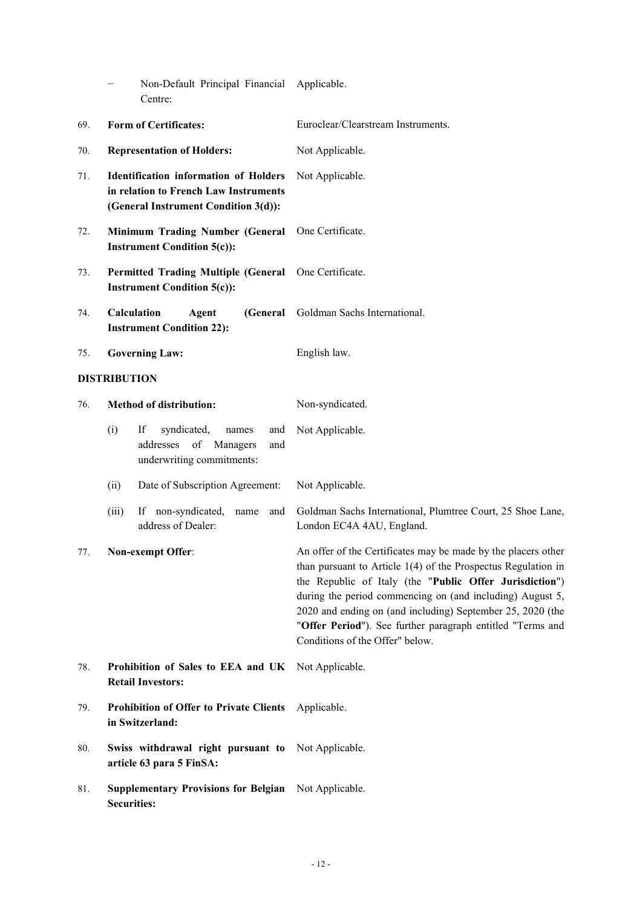|     | Non-Default Principal Financial<br>Centre:                                                                                    | Applicable.                                                                                                                                                                                                                                                                                                                                                                                                             |
|-----|-------------------------------------------------------------------------------------------------------------------------------|-------------------------------------------------------------------------------------------------------------------------------------------------------------------------------------------------------------------------------------------------------------------------------------------------------------------------------------------------------------------------------------------------------------------------|
| 69. | <b>Form of Certificates:</b>                                                                                                  | Euroclear/Clearstream Instruments.                                                                                                                                                                                                                                                                                                                                                                                      |
| 70. | <b>Representation of Holders:</b>                                                                                             | Not Applicable.                                                                                                                                                                                                                                                                                                                                                                                                         |
| 71. | <b>Identification information of Holders</b><br>in relation to French Law Instruments<br>(General Instrument Condition 3(d)): | Not Applicable.                                                                                                                                                                                                                                                                                                                                                                                                         |
| 72. | Minimum Trading Number (General<br><b>Instrument Condition 5(c)):</b>                                                         | One Certificate.                                                                                                                                                                                                                                                                                                                                                                                                        |
| 73. | <b>Permitted Trading Multiple (General</b><br><b>Instrument Condition 5(c)):</b>                                              | One Certificate.                                                                                                                                                                                                                                                                                                                                                                                                        |
| 74. | Calculation<br>Agent<br>(General<br><b>Instrument Condition 22):</b>                                                          | Goldman Sachs International.                                                                                                                                                                                                                                                                                                                                                                                            |
| 75. | <b>Governing Law:</b>                                                                                                         | English law.                                                                                                                                                                                                                                                                                                                                                                                                            |
|     | <b>DISTRIBUTION</b>                                                                                                           |                                                                                                                                                                                                                                                                                                                                                                                                                         |
| 76. | <b>Method of distribution:</b>                                                                                                | Non-syndicated.                                                                                                                                                                                                                                                                                                                                                                                                         |
|     | If<br>syndicated,<br>(i)<br>names<br>and<br>addresses of Managers<br>and<br>underwriting commitments:                         | Not Applicable.                                                                                                                                                                                                                                                                                                                                                                                                         |
|     | Date of Subscription Agreement:<br>(ii)                                                                                       | Not Applicable.                                                                                                                                                                                                                                                                                                                                                                                                         |
|     | If non-syndicated,<br>(iii)<br>name<br>and<br>address of Dealer:                                                              | Goldman Sachs International, Plumtree Court, 25 Shoe Lane,<br>London EC4A 4AU, England.                                                                                                                                                                                                                                                                                                                                 |
| 77. | Non-exempt Offer:                                                                                                             | An offer of the Certificates may be made by the placers other<br>than pursuant to Article $1(4)$ of the Prospectus Regulation in<br>the Republic of Italy (the "Public Offer Jurisdiction")<br>during the period commencing on (and including) August 5,<br>2020 and ending on (and including) September 25, 2020 (the<br>"Offer Period"). See further paragraph entitled "Terms and<br>Conditions of the Offer" below. |
| 78. | Prohibition of Sales to EEA and UK<br><b>Retail Investors:</b>                                                                | Not Applicable.                                                                                                                                                                                                                                                                                                                                                                                                         |
| 79. | <b>Prohibition of Offer to Private Clients</b><br>in Switzerland:                                                             | Applicable.                                                                                                                                                                                                                                                                                                                                                                                                             |
| 80. | Swiss withdrawal right pursuant to<br>article 63 para 5 FinSA:                                                                | Not Applicable.                                                                                                                                                                                                                                                                                                                                                                                                         |
| 81. | <b>Supplementary Provisions for Belgian</b><br><b>Securities:</b>                                                             | Not Applicable.                                                                                                                                                                                                                                                                                                                                                                                                         |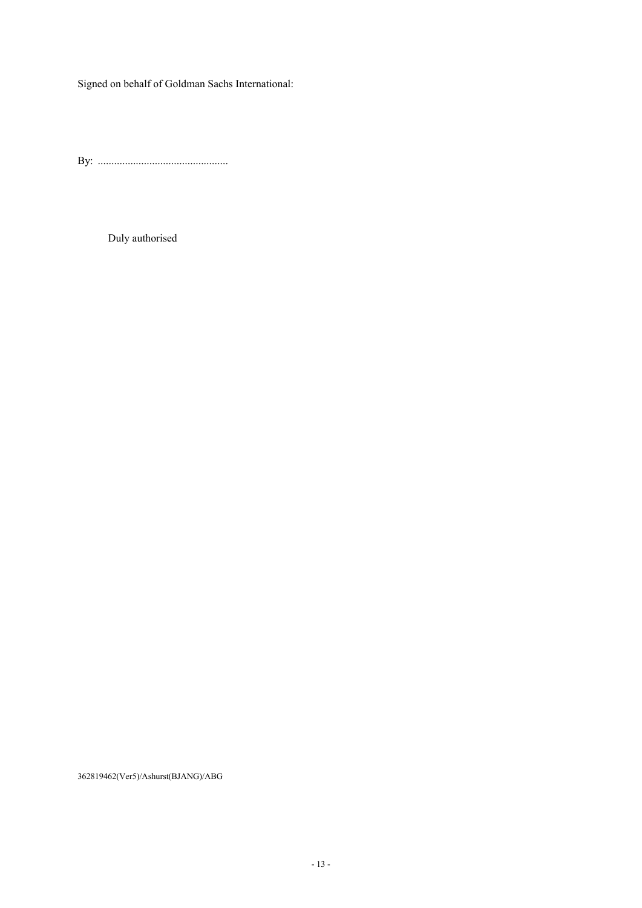Signed on behalf of Goldman Sachs International:

By: ................................................

Duly authorised

362819462(Ver5)/Ashurst(BJANG)/ABG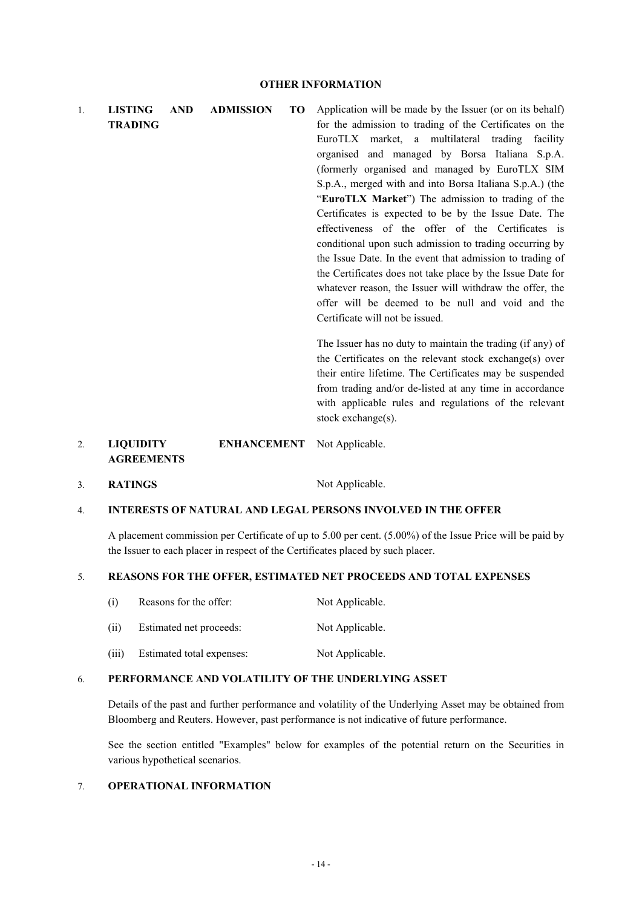1. **LISTING AND ADMISSION TO TRADING** Application will be made by the Issuer (or on its behalf) for the admission to trading of the Certificates on the EuroTLX market, a multilateral trading facility organised and managed by Borsa Italiana S.p.A. (formerly organised and managed by EuroTLX SIM S.p.A., merged with and into Borsa Italiana S.p.A.) (the "**EuroTLX Market**") The admission to trading of the Certificates is expected to be by the Issue Date. The effectiveness of the offer of the Certificates is conditional upon such admission to trading occurring by the Issue Date. In the event that admission to trading of the Certificates does not take place by the Issue Date for whatever reason, the Issuer will withdraw the offer, the offer will be deemed to be null and void and the Certificate will not be issued. The Issuer has no duty to maintain the trading (if any) of

the Certificates on the relevant stock exchange(s) over their entire lifetime. The Certificates may be suspended from trading and/or de-listed at any time in accordance with applicable rules and regulations of the relevant stock exchange(s).

- 2. **LIQUIDITY ENHANCEMENT**  Not Applicable. **AGREEMENTS**
- 3. **RATINGS** Not Applicable.

# 4. **INTERESTS OF NATURAL AND LEGAL PERSONS INVOLVED IN THE OFFER**

A placement commission per Certificate of up to 5.00 per cent. (5.00%) of the Issue Price will be paid by the Issuer to each placer in respect of the Certificates placed by such placer.

# 5. **REASONS FOR THE OFFER, ESTIMATED NET PROCEEDS AND TOTAL EXPENSES**

- (i) Reasons for the offer: Not Applicable.
- (ii) Estimated net proceeds: Not Applicable.
- (iii) Estimated total expenses: Not Applicable.

# 6. **PERFORMANCE AND VOLATILITY OF THE UNDERLYING ASSET**

Details of the past and further performance and volatility of the Underlying Asset may be obtained from Bloomberg and Reuters. However, past performance is not indicative of future performance.

See the section entitled "Examples" below for examples of the potential return on the Securities in various hypothetical scenarios.

# 7. **OPERATIONAL INFORMATION**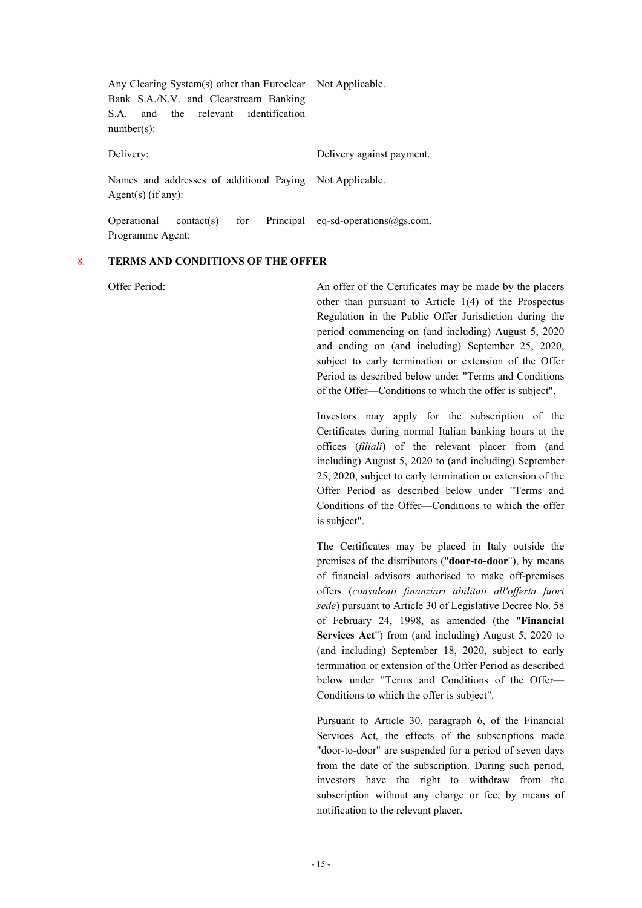| Any Clearing System(s) other than Euroclear Not Applicable.                      |                                             |
|----------------------------------------------------------------------------------|---------------------------------------------|
| Bank S.A./N.V. and Clearstream Banking                                           |                                             |
| the relevant identification<br>and<br>SA.                                        |                                             |
| $number(s)$ :                                                                    |                                             |
| Delivery:                                                                        | Delivery against payment.                   |
| Names and addresses of additional Paying Not Applicable.<br>Agent(s) $(if any):$ |                                             |
|                                                                                  |                                             |
| for<br>Operational<br>contact(s)                                                 | Principal eq-sd-operations $\omega$ gs.com. |
| Programme Agent:                                                                 |                                             |

# 8. **TERMS AND CONDITIONS OF THE OFFER**

Offer Period: An offer of the Certificates may be made by the placers other than pursuant to Article 1(4) of the Prospectus Regulation in the Public Offer Jurisdiction during the period commencing on (and including) August 5, 2020 and ending on (and including) September 25, 2020, subject to early termination or extension of the Offer Period as described below under "Terms and Conditions of the Offer—Conditions to which the offer is subject".

> Investors may apply for the subscription of the Certificates during normal Italian banking hours at the offices (*filiali*) of the relevant placer from (and including) August 5, 2020 to (and including) September 25, 2020, subject to early termination or extension of the Offer Period as described below under "Terms and Conditions of the Offer—Conditions to which the offer is subject".

> The Certificates may be placed in Italy outside the premises of the distributors ("**door-to-door**"), by means of financial advisors authorised to make off-premises offers (*consulenti finanziari abilitati all'offerta fuori sede*) pursuant to Article 30 of Legislative Decree No. 58 of February 24, 1998, as amended (the "**Financial Services Act**") from (and including) August 5, 2020 to (and including) September 18, 2020, subject to early termination or extension of the Offer Period as described below under "Terms and Conditions of the Offer— Conditions to which the offer is subject".

> Pursuant to Article 30, paragraph 6, of the Financial Services Act, the effects of the subscriptions made "door-to-door" are suspended for a period of seven days from the date of the subscription. During such period, investors have the right to withdraw from the subscription without any charge or fee, by means of notification to the relevant placer.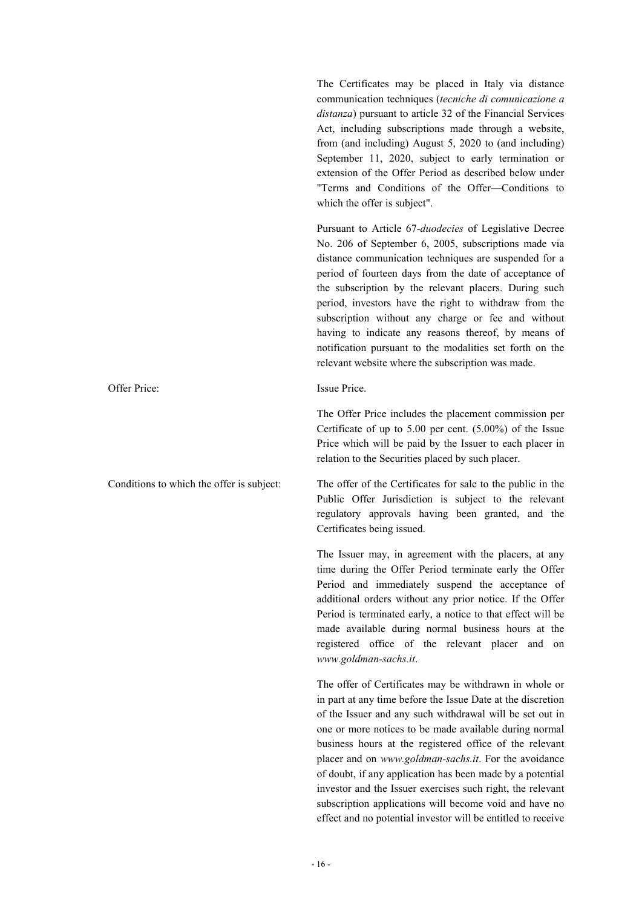The Certificates may be placed in Italy via distance communication techniques (*tecniche di comunicazione a distanza*) pursuant to article 32 of the Financial Services Act, including subscriptions made through a website, from (and including) August 5, 2020 to (and including) September 11, 2020, subject to early termination or extension of the Offer Period as described below under "Terms and Conditions of the Offer—Conditions to which the offer is subject".

Pursuant to Article 67-*duodecies* of Legislative Decree No. 206 of September 6, 2005, subscriptions made via distance communication techniques are suspended for a period of fourteen days from the date of acceptance of the subscription by the relevant placers. During such period, investors have the right to withdraw from the subscription without any charge or fee and without having to indicate any reasons thereof, by means of notification pursuant to the modalities set forth on the relevant website where the subscription was made.

The Offer Price includes the placement commission per Certificate of up to 5.00 per cent. (5.00%) of the Issue Price which will be paid by the Issuer to each placer in relation to the Securities placed by such placer.

Conditions to which the offer is subject: The offer of the Certificates for sale to the public in the Public Offer Jurisdiction is subject to the relevant regulatory approvals having been granted, and the Certificates being issued.

> The Issuer may, in agreement with the placers, at any time during the Offer Period terminate early the Offer Period and immediately suspend the acceptance of additional orders without any prior notice. If the Offer Period is terminated early, a notice to that effect will be made available during normal business hours at the registered office of the relevant placer and on *www.goldman-sachs.it*.

> The offer of Certificates may be withdrawn in whole or in part at any time before the Issue Date at the discretion of the Issuer and any such withdrawal will be set out in one or more notices to be made available during normal business hours at the registered office of the relevant placer and on *www.goldman-sachs.it*. For the avoidance of doubt, if any application has been made by a potential investor and the Issuer exercises such right, the relevant subscription applications will become void and have no effect and no potential investor will be entitled to receive

Offer Price: Issue Price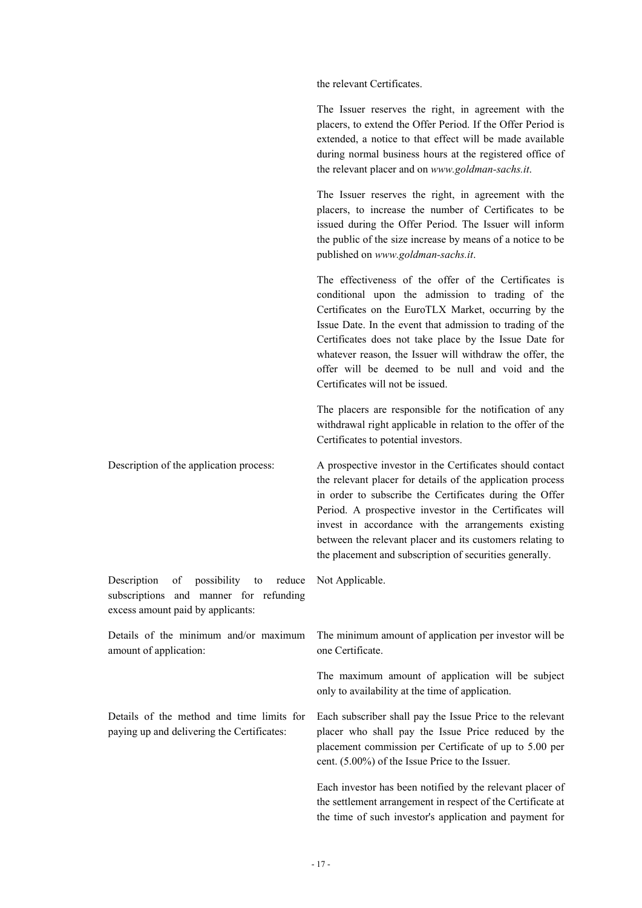the relevant Certificates.

The Issuer reserves the right, in agreement with the placers, to extend the Offer Period. If the Offer Period is extended, a notice to that effect will be made available during normal business hours at the registered office of the relevant placer and on *www.goldman-sachs.it*.

The Issuer reserves the right, in agreement with the placers, to increase the number of Certificates to be issued during the Offer Period. The Issuer will inform the public of the size increase by means of a notice to be published on *www.goldman-sachs.it*.

The effectiveness of the offer of the Certificates is conditional upon the admission to trading of the Certificates on the EuroTLX Market, occurring by the Issue Date. In the event that admission to trading of the Certificates does not take place by the Issue Date for whatever reason, the Issuer will withdraw the offer, the offer will be deemed to be null and void and the Certificates will not be issued.

The placers are responsible for the notification of any withdrawal right applicable in relation to the offer of the Certificates to potential investors.

Description of the application process: A prospective investor in the Certificates should contact the relevant placer for details of the application process in order to subscribe the Certificates during the Offer Period. A prospective investor in the Certificates will invest in accordance with the arrangements existing between the relevant placer and its customers relating to the placement and subscription of securities generally.

Description of possibility to reduce subscriptions and manner for refunding excess amount paid by applicants: Not Applicable.

Details of the minimum and/or maximum amount of application: The minimum amount of application per investor will be one Certificate.

> The maximum amount of application will be subject only to availability at the time of application.

Each subscriber shall pay the Issue Price to the relevant placer who shall pay the Issue Price reduced by the placement commission per Certificate of up to 5.00 per cent. (5.00%) of the Issue Price to the Issuer.

Each investor has been notified by the relevant placer of the settlement arrangement in respect of the Certificate at the time of such investor's application and payment for

Details of the method and time limits for paying up and delivering the Certificates: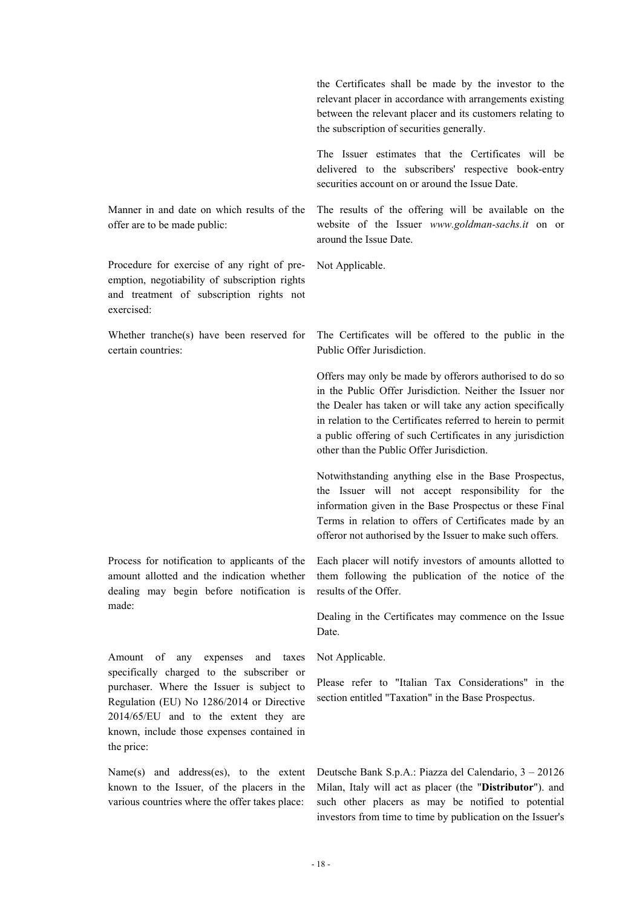the Certificates shall be made by the investor to the relevant placer in accordance with arrangements existing between the relevant placer and its customers relating to the subscription of securities generally.

The Issuer estimates that the Certificates will be delivered to the subscribers' respective book-entry securities account on or around the Issue Date.

Manner in and date on which results of the offer are to be made public:

Procedure for exercise of any right of preemption, negotiability of subscription rights and treatment of subscription rights not exercised:

Whether tranche(s) have been reserved for certain countries:

Process for notification to applicants of the amount allotted and the indication whether dealing may begin before notification is made:

Amount of any expenses and taxes specifically charged to the subscriber or purchaser. Where the Issuer is subject to Regulation (EU) No 1286/2014 or Directive 2014/65/EU and to the extent they are known, include those expenses contained in the price:

Name(s) and address(es), to the extent known to the Issuer, of the placers in the various countries where the offer takes place:

The results of the offering will be available on the website of the Issuer *www.goldman-sachs.it* on or around the Issue Date.

Not Applicable.

The Certificates will be offered to the public in the Public Offer Jurisdiction.

Offers may only be made by offerors authorised to do so in the Public Offer Jurisdiction. Neither the Issuer nor the Dealer has taken or will take any action specifically in relation to the Certificates referred to herein to permit a public offering of such Certificates in any jurisdiction other than the Public Offer Jurisdiction.

Notwithstanding anything else in the Base Prospectus, the Issuer will not accept responsibility for the information given in the Base Prospectus or these Final Terms in relation to offers of Certificates made by an offeror not authorised by the Issuer to make such offers.

Each placer will notify investors of amounts allotted to them following the publication of the notice of the results of the Offer.

Dealing in the Certificates may commence on the Issue Date.

Not Applicable.

Please refer to "Italian Tax Considerations" in the section entitled "Taxation" in the Base Prospectus.

Deutsche Bank S.p.A.: Piazza del Calendario, 3 – 20126 Milan, Italy will act as placer (the "**Distributor**"). and such other placers as may be notified to potential investors from time to time by publication on the Issuer's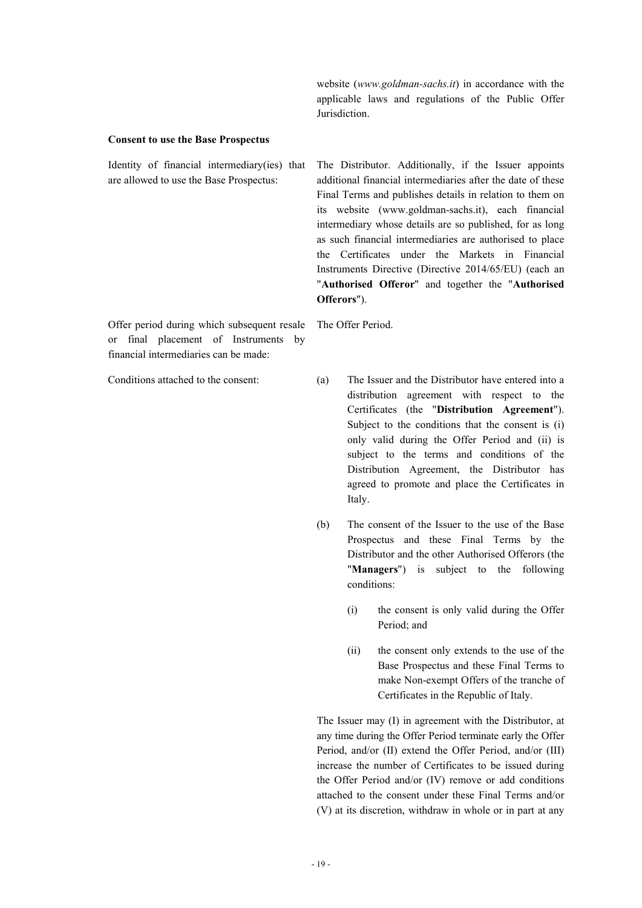website (*www.goldman-sachs.it*) in accordance with the applicable laws and regulations of the Public Offer Jurisdiction.

#### **Consent to use the Base Prospectus**

Identity of financial intermediary(ies) that are allowed to use the Base Prospectus:

The Distributor. Additionally, if the Issuer appoints additional financial intermediaries after the date of these Final Terms and publishes details in relation to them on its website (www.goldman-sachs.it), each financial intermediary whose details are so published, for as long as such financial intermediaries are authorised to place the Certificates under the Markets in Financial Instruments Directive (Directive 2014/65/EU) (each an "**Authorised Offeror**" and together the "**Authorised Offerors**").

Offer period during which subsequent resale or final placement of Instruments by financial intermediaries can be made:

The Offer Period.

Conditions attached to the consent: (a) The Issuer and the Distributor have entered into a distribution agreement with respect to the Certificates (the "**Distribution Agreement**"). Subject to the conditions that the consent is (i) only valid during the Offer Period and (ii) is subject to the terms and conditions of the Distribution Agreement, the Distributor has agreed to promote and place the Certificates in Italy.

> (b) The consent of the Issuer to the use of the Base Prospectus and these Final Terms by the Distributor and the other Authorised Offerors (the "**Managers**") is subject to the following conditions:

> > (i) the consent is only valid during the Offer Period; and

> > (ii) the consent only extends to the use of the Base Prospectus and these Final Terms to make Non-exempt Offers of the tranche of Certificates in the Republic of Italy.

The Issuer may (I) in agreement with the Distributor, at any time during the Offer Period terminate early the Offer Period, and/or (II) extend the Offer Period, and/or (III) increase the number of Certificates to be issued during the Offer Period and/or (IV) remove or add conditions attached to the consent under these Final Terms and/or (V) at its discretion, withdraw in whole or in part at any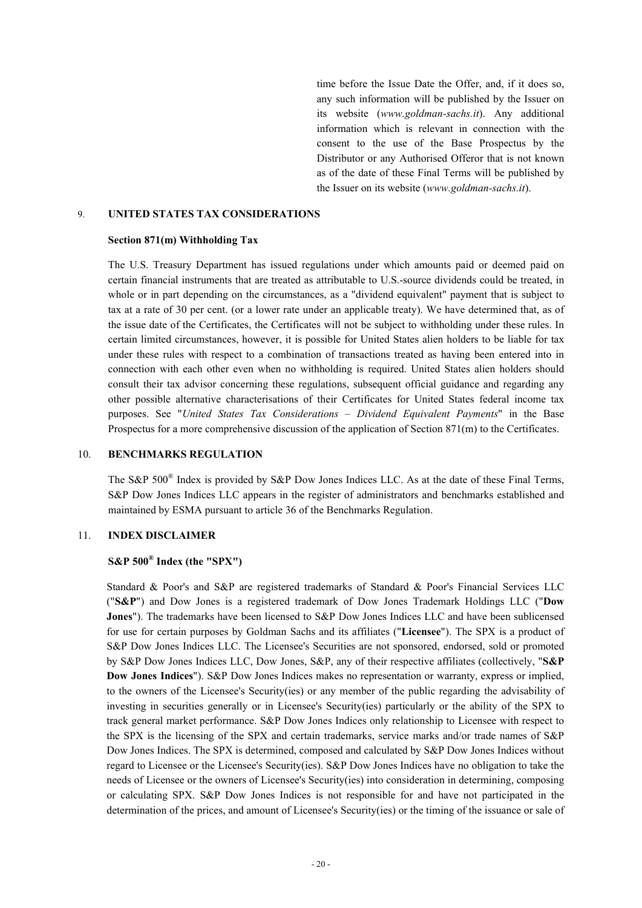time before the Issue Date the Offer, and, if it does so, any such information will be published by the Issuer on its website (*www.goldman-sachs.it*). Any additional information which is relevant in connection with the consent to the use of the Base Prospectus by the Distributor or any Authorised Offeror that is not known as of the date of these Final Terms will be published by the Issuer on its website (*www.goldman-sachs.it*).

#### 9. **UNITED STATES TAX CONSIDERATIONS**

#### **Section 871(m) Withholding Tax**

The U.S. Treasury Department has issued regulations under which amounts paid or deemed paid on certain financial instruments that are treated as attributable to U.S.-source dividends could be treated, in whole or in part depending on the circumstances, as a "dividend equivalent" payment that is subject to tax at a rate of 30 per cent. (or a lower rate under an applicable treaty). We have determined that, as of the issue date of the Certificates, the Certificates will not be subject to withholding under these rules. In certain limited circumstances, however, it is possible for United States alien holders to be liable for tax under these rules with respect to a combination of transactions treated as having been entered into in connection with each other even when no withholding is required. United States alien holders should consult their tax advisor concerning these regulations, subsequent official guidance and regarding any other possible alternative characterisations of their Certificates for United States federal income tax purposes. See "*United States Tax Considerations – Dividend Equivalent Payments*" in the Base Prospectus for a more comprehensive discussion of the application of Section 871(m) to the Certificates.

# 10. **BENCHMARKS REGULATION**

The S&P 500<sup>®</sup> Index is provided by S&P Dow Jones Indices LLC. As at the date of these Final Terms, S&P Dow Jones Indices LLC appears in the register of administrators and benchmarks established and maintained by ESMA pursuant to article 36 of the Benchmarks Regulation.

### 11. **INDEX DISCLAIMER**

# **S&P 500® Index (the "SPX")**

Standard & Poor's and S&P are registered trademarks of Standard & Poor's Financial Services LLC ("**S&P**") and Dow Jones is a registered trademark of Dow Jones Trademark Holdings LLC ("**Dow Jones**"). The trademarks have been licensed to S&P Dow Jones Indices LLC and have been sublicensed for use for certain purposes by Goldman Sachs and its affiliates ("**Licensee**"). The SPX is a product of S&P Dow Jones Indices LLC. The Licensee's Securities are not sponsored, endorsed, sold or promoted by S&P Dow Jones Indices LLC, Dow Jones, S&P, any of their respective affiliates (collectively, "**S&P Dow Jones Indices**"). S&P Dow Jones Indices makes no representation or warranty, express or implied, to the owners of the Licensee's Security(ies) or any member of the public regarding the advisability of investing in securities generally or in Licensee's Security(ies) particularly or the ability of the SPX to track general market performance. S&P Dow Jones Indices only relationship to Licensee with respect to the SPX is the licensing of the SPX and certain trademarks, service marks and/or trade names of S&P Dow Jones Indices. The SPX is determined, composed and calculated by S&P Dow Jones Indices without regard to Licensee or the Licensee's Security(ies). S&P Dow Jones Indices have no obligation to take the needs of Licensee or the owners of Licensee's Security(ies) into consideration in determining, composing or calculating SPX. S&P Dow Jones Indices is not responsible for and have not participated in the determination of the prices, and amount of Licensee's Security(ies) or the timing of the issuance or sale of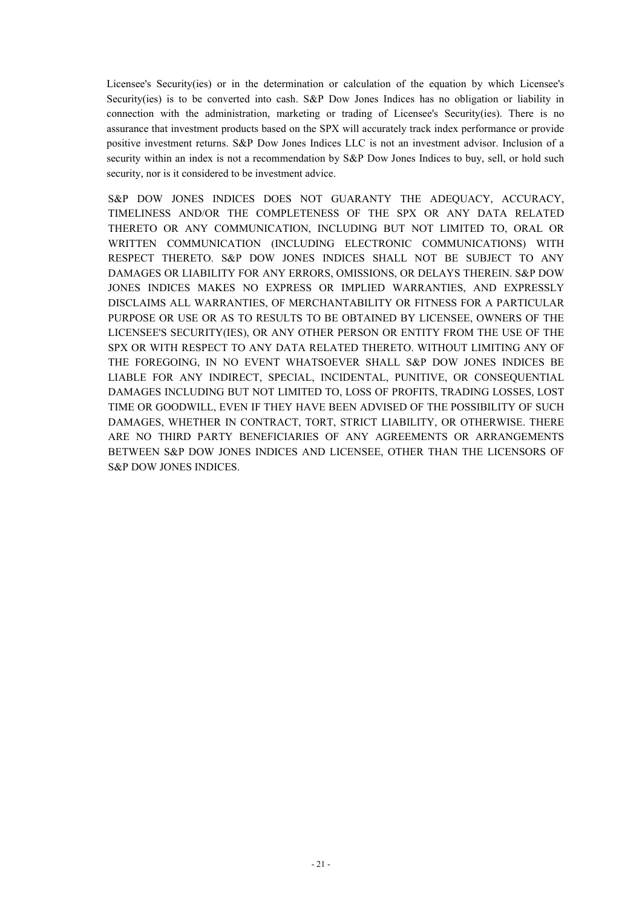Licensee's Security(ies) or in the determination or calculation of the equation by which Licensee's Security(ies) is to be converted into cash. S&P Dow Jones Indices has no obligation or liability in connection with the administration, marketing or trading of Licensee's Security(ies). There is no assurance that investment products based on the SPX will accurately track index performance or provide positive investment returns. S&P Dow Jones Indices LLC is not an investment advisor. Inclusion of a security within an index is not a recommendation by S&P Dow Jones Indices to buy, sell, or hold such security, nor is it considered to be investment advice.

S&P DOW JONES INDICES DOES NOT GUARANTY THE ADEQUACY, ACCURACY, TIMELINESS AND/OR THE COMPLETENESS OF THE SPX OR ANY DATA RELATED THERETO OR ANY COMMUNICATION, INCLUDING BUT NOT LIMITED TO, ORAL OR WRITTEN COMMUNICATION (INCLUDING ELECTRONIC COMMUNICATIONS) WITH RESPECT THERETO. S&P DOW JONES INDICES SHALL NOT BE SUBJECT TO ANY DAMAGES OR LIABILITY FOR ANY ERRORS, OMISSIONS, OR DELAYS THEREIN. S&P DOW JONES INDICES MAKES NO EXPRESS OR IMPLIED WARRANTIES, AND EXPRESSLY DISCLAIMS ALL WARRANTIES, OF MERCHANTABILITY OR FITNESS FOR A PARTICULAR PURPOSE OR USE OR AS TO RESULTS TO BE OBTAINED BY LICENSEE, OWNERS OF THE LICENSEE'S SECURITY(IES), OR ANY OTHER PERSON OR ENTITY FROM THE USE OF THE SPX OR WITH RESPECT TO ANY DATA RELATED THERETO. WITHOUT LIMITING ANY OF THE FOREGOING, IN NO EVENT WHATSOEVER SHALL S&P DOW JONES INDICES BE LIABLE FOR ANY INDIRECT, SPECIAL, INCIDENTAL, PUNITIVE, OR CONSEQUENTIAL DAMAGES INCLUDING BUT NOT LIMITED TO, LOSS OF PROFITS, TRADING LOSSES, LOST TIME OR GOODWILL, EVEN IF THEY HAVE BEEN ADVISED OF THE POSSIBILITY OF SUCH DAMAGES, WHETHER IN CONTRACT, TORT, STRICT LIABILITY, OR OTHERWISE. THERE ARE NO THIRD PARTY BENEFICIARIES OF ANY AGREEMENTS OR ARRANGEMENTS BETWEEN S&P DOW JONES INDICES AND LICENSEE, OTHER THAN THE LICENSORS OF S&P DOW JONES INDICES.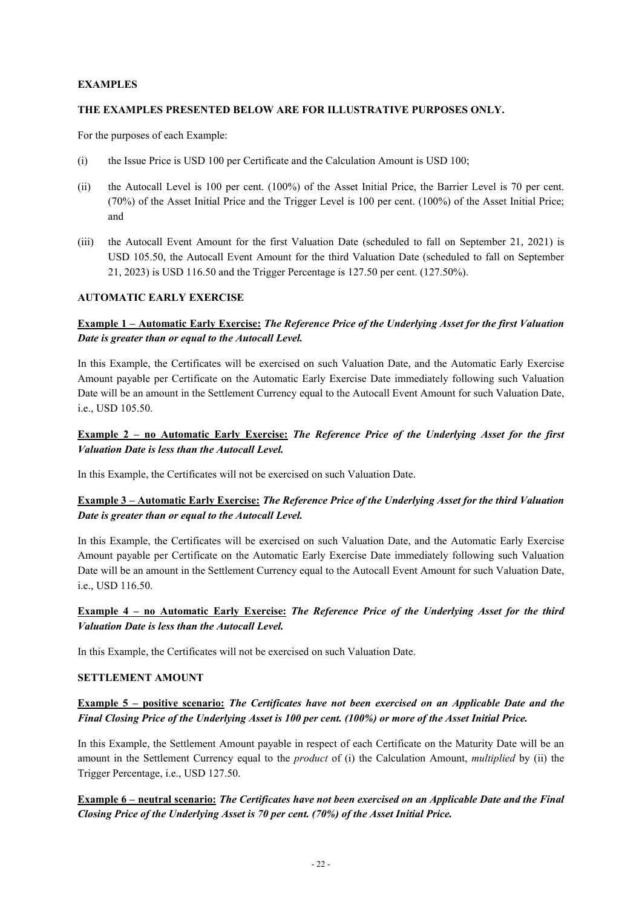# **EXAMPLES**

# **THE EXAMPLES PRESENTED BELOW ARE FOR ILLUSTRATIVE PURPOSES ONLY.**

For the purposes of each Example:

- (i) the Issue Price is USD 100 per Certificate and the Calculation Amount is USD 100;
- (ii) the Autocall Level is 100 per cent. (100%) of the Asset Initial Price, the Barrier Level is 70 per cent. (70%) of the Asset Initial Price and the Trigger Level is 100 per cent. (100%) of the Asset Initial Price; and
- (iii) the Autocall Event Amount for the first Valuation Date (scheduled to fall on September 21, 2021) is USD 105.50, the Autocall Event Amount for the third Valuation Date (scheduled to fall on September 21, 2023) is USD 116.50 and the Trigger Percentage is 127.50 per cent. (127.50%).

# **AUTOMATIC EARLY EXERCISE**

# **Example 1 – Automatic Early Exercise:** *The Reference Price of the Underlying Asset for the first Valuation Date is greater than or equal to the Autocall Level.*

In this Example, the Certificates will be exercised on such Valuation Date, and the Automatic Early Exercise Amount payable per Certificate on the Automatic Early Exercise Date immediately following such Valuation Date will be an amount in the Settlement Currency equal to the Autocall Event Amount for such Valuation Date, i.e., USD 105.50.

# **Example 2 – no Automatic Early Exercise:** *The Reference Price of the Underlying Asset for the first Valuation Date is less than the Autocall Level.*

In this Example, the Certificates will not be exercised on such Valuation Date.

# **Example 3 – Automatic Early Exercise:** *The Reference Price of the Underlying Asset for the third Valuation Date is greater than or equal to the Autocall Level.*

In this Example, the Certificates will be exercised on such Valuation Date, and the Automatic Early Exercise Amount payable per Certificate on the Automatic Early Exercise Date immediately following such Valuation Date will be an amount in the Settlement Currency equal to the Autocall Event Amount for such Valuation Date, i.e., USD 116.50.

# **Example 4 – no Automatic Early Exercise:** *The Reference Price of the Underlying Asset for the third Valuation Date is less than the Autocall Level.*

In this Example, the Certificates will not be exercised on such Valuation Date.

# **SETTLEMENT AMOUNT**

# **Example 5 – positive scenario:** *The Certificates have not been exercised on an Applicable Date and the Final Closing Price of the Underlying Asset is 100 per cent. (100%) or more of the Asset Initial Price.*

In this Example, the Settlement Amount payable in respect of each Certificate on the Maturity Date will be an amount in the Settlement Currency equal to the *product* of (i) the Calculation Amount, *multiplied* by (ii) the Trigger Percentage, i.e., USD 127.50.

# **Example 6 – neutral scenario:** *The Certificates have not been exercised on an Applicable Date and the Final Closing Price of the Underlying Asset is 70 per cent. (70%) of the Asset Initial Price.*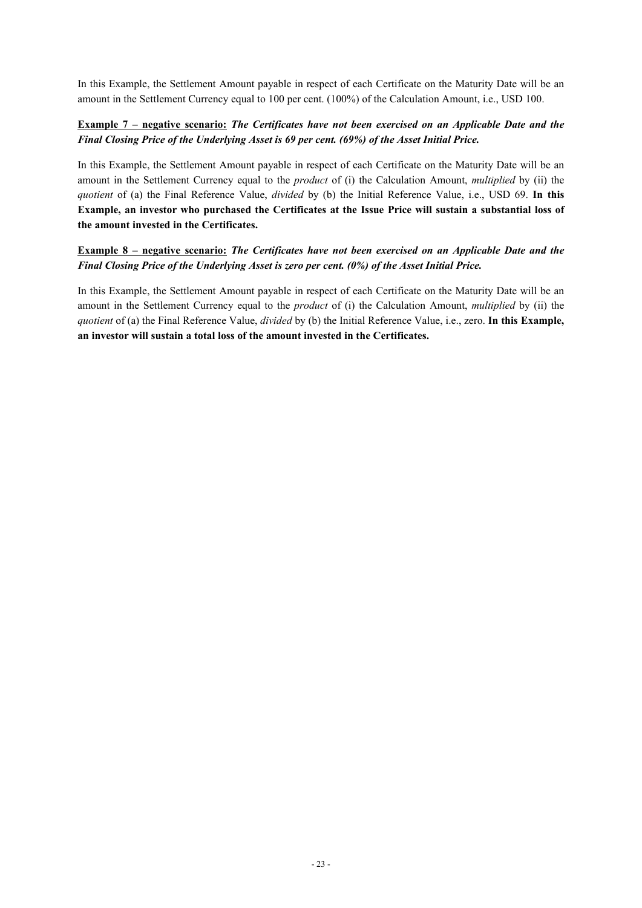In this Example, the Settlement Amount payable in respect of each Certificate on the Maturity Date will be an amount in the Settlement Currency equal to 100 per cent. (100%) of the Calculation Amount, i.e., USD 100.

# **Example 7 – negative scenario:** *The Certificates have not been exercised on an Applicable Date and the Final Closing Price of the Underlying Asset is 69 per cent. (69%) of the Asset Initial Price.*

In this Example, the Settlement Amount payable in respect of each Certificate on the Maturity Date will be an amount in the Settlement Currency equal to the *product* of (i) the Calculation Amount, *multiplied* by (ii) the *quotient* of (a) the Final Reference Value, *divided* by (b) the Initial Reference Value, i.e., USD 69. **In this Example, an investor who purchased the Certificates at the Issue Price will sustain a substantial loss of the amount invested in the Certificates.**

# **Example 8 – negative scenario:** *The Certificates have not been exercised on an Applicable Date and the Final Closing Price of the Underlying Asset is zero per cent. (0%) of the Asset Initial Price.*

In this Example, the Settlement Amount payable in respect of each Certificate on the Maturity Date will be an amount in the Settlement Currency equal to the *product* of (i) the Calculation Amount, *multiplied* by (ii) the *quotient* of (a) the Final Reference Value, *divided* by (b) the Initial Reference Value, i.e., zero. **In this Example, an investor will sustain a total loss of the amount invested in the Certificates.**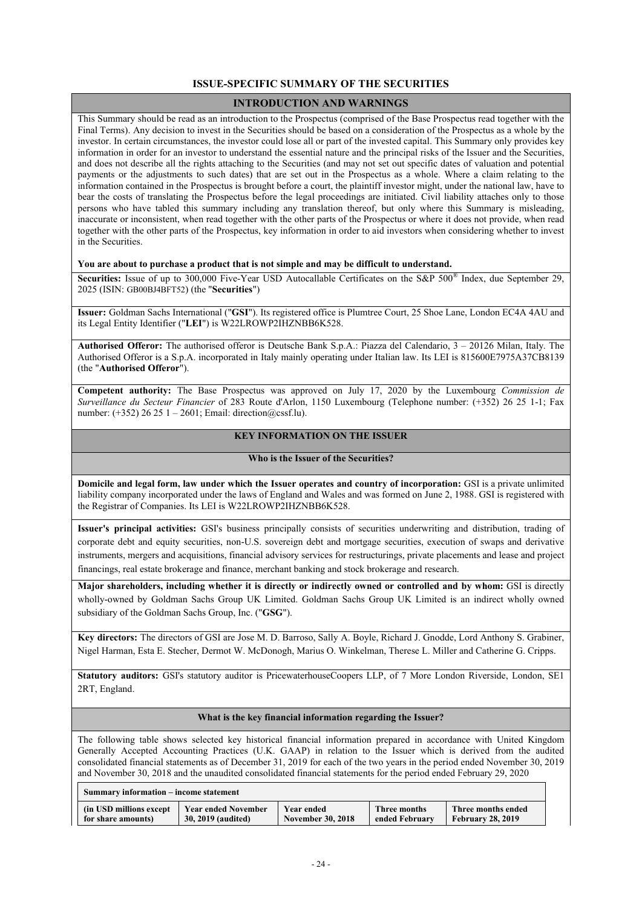# **ISSUE-SPECIFIC SUMMARY OF THE SECURITIES**

### **INTRODUCTION AND WARNINGS**

This Summary should be read as an introduction to the Prospectus (comprised of the Base Prospectus read together with the Final Terms). Any decision to invest in the Securities should be based on a consideration of the Prospectus as a whole by the investor. In certain circumstances, the investor could lose all or part of the invested capital. This Summary only provides key information in order for an investor to understand the essential nature and the principal risks of the Issuer and the Securities, and does not describe all the rights attaching to the Securities (and may not set out specific dates of valuation and potential payments or the adjustments to such dates) that are set out in the Prospectus as a whole. Where a claim relating to the information contained in the Prospectus is brought before a court, the plaintiff investor might, under the national law, have to bear the costs of translating the Prospectus before the legal proceedings are initiated. Civil liability attaches only to those persons who have tabled this summary including any translation thereof, but only where this Summary is misleading, inaccurate or inconsistent, when read together with the other parts of the Prospectus or where it does not provide, when read together with the other parts of the Prospectus, key information in order to aid investors when considering whether to invest in the Securities.

#### **You are about to purchase a product that is not simple and may be difficult to understand.**

Securities: Issue of up to 300,000 Five-Year USD Autocallable Certificates on the S&P 500<sup>®</sup> Index, due September 29, 2025 (ISIN: GB00BJ4BFT52) (the "**Securities**")

**Issuer:** Goldman Sachs International ("**GSI**"). Its registered office is Plumtree Court, 25 Shoe Lane, London EC4A 4AU and its Legal Entity Identifier ("**LEI**") is W22LROWP2IHZNBB6K528.

**Authorised Offeror:** The authorised offeror is Deutsche Bank S.p.A.: Piazza del Calendario, 3 – 20126 Milan, Italy. The Authorised Offeror is a S.p.A. incorporated in Italy mainly operating under Italian law. Its LEI is 815600E7975A37CB8139 (the "**Authorised Offeror**").

**Competent authority:** The Base Prospectus was approved on July 17, 2020 by the Luxembourg *Commission de Surveillance du Secteur Financier* of 283 Route d'Arlon, 1150 Luxembourg (Telephone number: (+352) 26 25 1-1; Fax number: (+352) 26 25 1 – 2601; Email: direction@cssf.lu).

### **KEY INFORMATION ON THE ISSUER**

### **Who is the Issuer of the Securities?**

**Domicile and legal form, law under which the Issuer operates and country of incorporation:** GSI is a private unlimited liability company incorporated under the laws of England and Wales and was formed on June 2, 1988. GSI is registered with the Registrar of Companies. Its LEI is W22LROWP2IHZNBB6K528.

**Issuer's principal activities:** GSI's business principally consists of securities underwriting and distribution, trading of corporate debt and equity securities, non-U.S. sovereign debt and mortgage securities, execution of swaps and derivative instruments, mergers and acquisitions, financial advisory services for restructurings, private placements and lease and project financings, real estate brokerage and finance, merchant banking and stock brokerage and research.

**Major shareholders, including whether it is directly or indirectly owned or controlled and by whom:** GSI is directly wholly-owned by Goldman Sachs Group UK Limited. Goldman Sachs Group UK Limited is an indirect wholly owned subsidiary of the Goldman Sachs Group, Inc. ("**GSG**").

**Key directors:** The directors of GSI are Jose M. D. Barroso, Sally A. Boyle, Richard J. Gnodde, Lord Anthony S. Grabiner, Nigel Harman, Esta E. Stecher, Dermot W. McDonogh, Marius O. Winkelman, Therese L. Miller and Catherine G. Cripps.

**Statutory auditors:** GSI's statutory auditor is PricewaterhouseCoopers LLP, of 7 More London Riverside, London, SE1 2RT, England.

#### **What is the key financial information regarding the Issuer?**

The following table shows selected key historical financial information prepared in accordance with United Kingdom Generally Accepted Accounting Practices (U.K. GAAP) in relation to the Issuer which is derived from the audited consolidated financial statements as of December 31, 2019 for each of the two years in the period ended November 30, 2019 and November 30, 2018 and the unaudited consolidated financial statements for the period ended February 29, 2020

| Summary information – income statement |                            |                          |                |                          |  |
|----------------------------------------|----------------------------|--------------------------|----------------|--------------------------|--|
| (in USD millions except)               | <b>Year ended November</b> | Year ended               | Three months   | Three months ended       |  |
| for share amounts)                     | 30, 2019 (audited)         | <b>November 30, 2018</b> | ended February | <b>February 28, 2019</b> |  |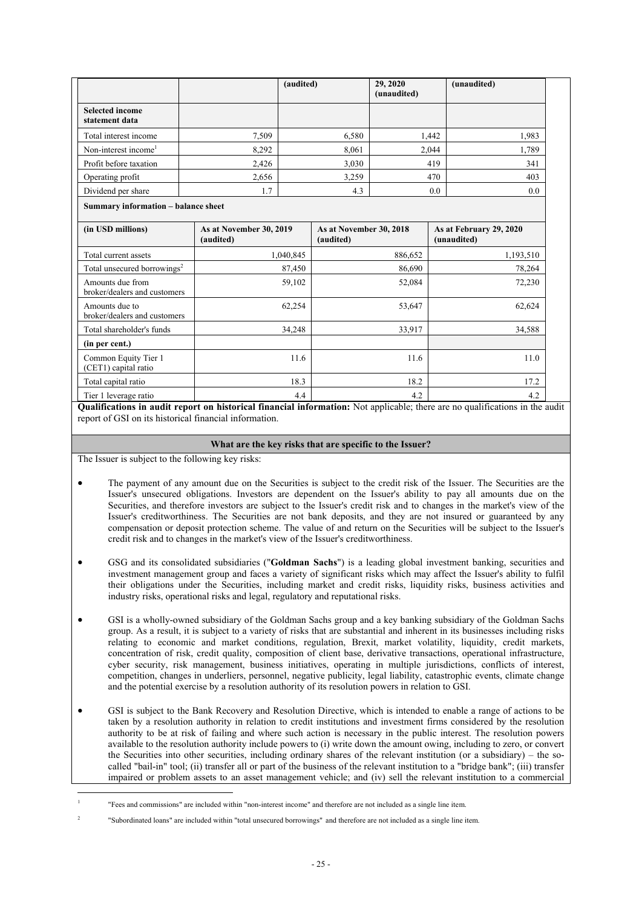|                                                  | (audited)                            |                                      | 29, 2020<br>(unaudited) | (unaudited)                            |
|--------------------------------------------------|--------------------------------------|--------------------------------------|-------------------------|----------------------------------------|
| <b>Selected income</b><br>statement data         |                                      |                                      |                         |                                        |
| Total interest income                            | 7,509                                | 6,580                                |                         | 1,442<br>1,983                         |
| Non-interest income <sup>1</sup>                 | 8,292                                | 8,061                                |                         | 2,044<br>1,789                         |
| Profit before taxation                           | 2,426                                | 3,030                                |                         | 419<br>341                             |
| Operating profit                                 | 2,656                                | 3,259                                |                         | 470<br>403                             |
| Dividend per share                               | 1.7                                  | 4.3                                  |                         | 0.0<br>0.0                             |
| Summary information - balance sheet              |                                      |                                      |                         |                                        |
| (in USD millions)                                | As at November 30, 2019<br>(audited) | As at November 30, 2018<br>(audited) |                         | As at February 29, 2020<br>(unaudited) |
| Total current assets                             | 1,040,845                            |                                      | 886,652                 | 1,193,510                              |
| Total unsecured borrowings <sup>2</sup>          | 87,450                               |                                      | 86,690                  | 78,264                                 |
| Amounts due from<br>broker/dealers and customers | 59,102                               |                                      | 52,084                  | 72,230                                 |
| Amounts due to<br>broker/dealers and customers   | 62,254                               |                                      | 53,647                  | 62,624                                 |
| Total shareholder's funds                        | 34,248                               |                                      | 33,917                  | 34,588                                 |
| (in per cent.)                                   |                                      |                                      |                         |                                        |
| Common Equity Tier 1<br>(CET1) capital ratio     | 11.6                                 |                                      | 11.6                    | 11.0                                   |
| Total capital ratio                              | 18.3                                 |                                      | 18.2                    | 17.2                                   |
| Tier 1 leverage ratio                            | 4.4                                  |                                      | 4.2                     | 4.2                                    |

**Qualifications in audit report on historical financial information:** Not applicable; there are no qualifications in the audit report of GSI on its historical financial information.

### **What are the key risks that are specific to the Issuer?**

The Issuer is subject to the following key risks:

1

- The payment of any amount due on the Securities is subject to the credit risk of the Issuer. The Securities are the Issuer's unsecured obligations. Investors are dependent on the Issuer's ability to pay all amounts due on the Securities, and therefore investors are subject to the Issuer's credit risk and to changes in the market's view of the Issuer's creditworthiness. The Securities are not bank deposits, and they are not insured or guaranteed by any compensation or deposit protection scheme. The value of and return on the Securities will be subject to the Issuer's credit risk and to changes in the market's view of the Issuer's creditworthiness.
- GSG and its consolidated subsidiaries ("**Goldman Sachs**") is a leading global investment banking, securities and investment management group and faces a variety of significant risks which may affect the Issuer's ability to fulfil their obligations under the Securities, including market and credit risks, liquidity risks, business activities and industry risks, operational risks and legal, regulatory and reputational risks.
- GSI is a wholly-owned subsidiary of the Goldman Sachs group and a key banking subsidiary of the Goldman Sachs group. As a result, it is subject to a variety of risks that are substantial and inherent in its businesses including risks relating to economic and market conditions, regulation, Brexit, market volatility, liquidity, credit markets, concentration of risk, credit quality, composition of client base, derivative transactions, operational infrastructure, cyber security, risk management, business initiatives, operating in multiple jurisdictions, conflicts of interest, competition, changes in underliers, personnel, negative publicity, legal liability, catastrophic events, climate change and the potential exercise by a resolution authority of its resolution powers in relation to GSI.
- GSI is subject to the Bank Recovery and Resolution Directive, which is intended to enable a range of actions to be taken by a resolution authority in relation to credit institutions and investment firms considered by the resolution authority to be at risk of failing and where such action is necessary in the public interest. The resolution powers available to the resolution authority include powers to (i) write down the amount owing, including to zero, or convert the Securities into other securities, including ordinary shares of the relevant institution (or a subsidiary) – the socalled "bail-in" tool; (ii) transfer all or part of the business of the relevant institution to a "bridge bank"; (iii) transfer impaired or problem assets to an asset management vehicle; and (iv) sell the relevant institution to a commercial

<sup>1</sup> "Fees and commissions" are included within "non-interest income" and therefore are not included as a single line item.

 $\overline{2}$ "Subordinated loans" are included within "total unsecured borrowings" and therefore are not included as a single line item.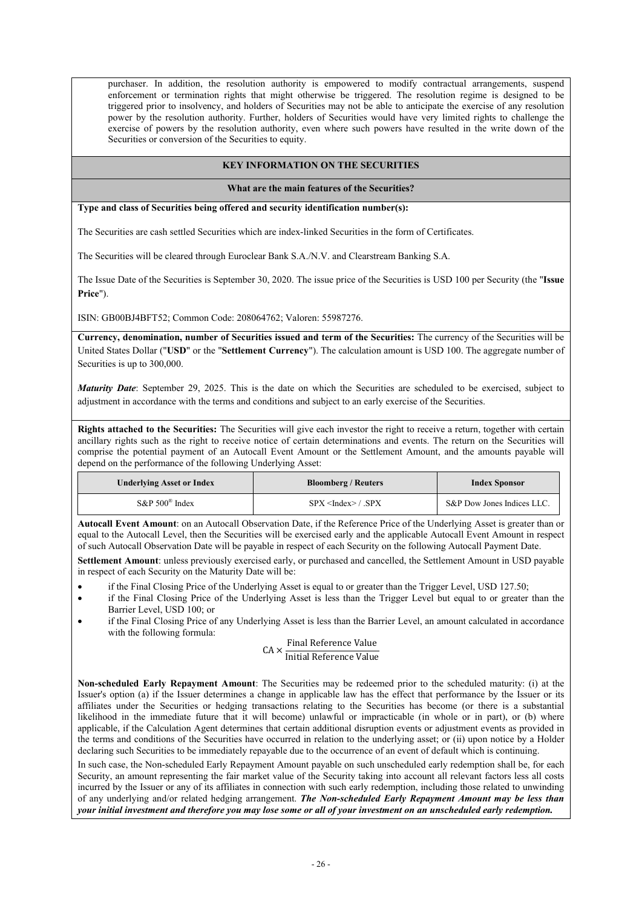purchaser. In addition, the resolution authority is empowered to modify contractual arrangements, suspend enforcement or termination rights that might otherwise be triggered. The resolution regime is designed to be triggered prior to insolvency, and holders of Securities may not be able to anticipate the exercise of any resolution power by the resolution authority. Further, holders of Securities would have very limited rights to challenge the exercise of powers by the resolution authority, even where such powers have resulted in the write down of the Securities or conversion of the Securities to equity.

### **KEY INFORMATION ON THE SECURITIES**

**What are the main features of the Securities?**

**Type and class of Securities being offered and security identification number(s):**

The Securities are cash settled Securities which are index-linked Securities in the form of Certificates.

The Securities will be cleared through Euroclear Bank S.A./N.V. and Clearstream Banking S.A.

The Issue Date of the Securities is September 30, 2020. The issue price of the Securities is USD 100 per Security (the "**Issue Price**").

ISIN: GB00BJ4BFT52; Common Code: 208064762; Valoren: 55987276.

**Currency, denomination, number of Securities issued and term of the Securities:** The currency of the Securities will be United States Dollar ("**USD**" or the "**Settlement Currency**"). The calculation amount is USD 100. The aggregate number of Securities is up to 300,000.

*Maturity Date*: September 29, 2025. This is the date on which the Securities are scheduled to be exercised, subject to adjustment in accordance with the terms and conditions and subject to an early exercise of the Securities.

**Rights attached to the Securities:** The Securities will give each investor the right to receive a return, together with certain ancillary rights such as the right to receive notice of certain determinations and events. The return on the Securities will comprise the potential payment of an Autocall Event Amount or the Settlement Amount, and the amounts payable will depend on the performance of the following Underlying Asset:

| <b>Underlying Asset or Index</b> | <b>Bloomberg / Reuters</b> | <b>Index Sponsor</b>       |
|----------------------------------|----------------------------|----------------------------|
| $S\&P 500^{\circ}$ Index         | SPX < Index > / .SPX       | S&P Dow Jones Indices LLC. |

**Autocall Event Amount**: on an Autocall Observation Date, if the Reference Price of the Underlying Asset is greater than or equal to the Autocall Level, then the Securities will be exercised early and the applicable Autocall Event Amount in respect of such Autocall Observation Date will be payable in respect of each Security on the following Autocall Payment Date.

**Settlement Amount**: unless previously exercised early, or purchased and cancelled, the Settlement Amount in USD payable in respect of each Security on the Maturity Date will be:

- if the Final Closing Price of the Underlying Asset is equal to or greater than the Trigger Level, USD 127.50;
- if the Final Closing Price of the Underlying Asset is less than the Trigger Level but equal to or greater than the Barrier Level, USD 100; or
- if the Final Closing Price of any Underlying Asset is less than the Barrier Level, an amount calculated in accordance with the following formula:

# $CA \times \frac{Final \, Reference \, Value}{Initial \, Reference \, Value}$ Initial Reference Value

**Non-scheduled Early Repayment Amount**: The Securities may be redeemed prior to the scheduled maturity: (i) at the Issuer's option (a) if the Issuer determines a change in applicable law has the effect that performance by the Issuer or its affiliates under the Securities or hedging transactions relating to the Securities has become (or there is a substantial likelihood in the immediate future that it will become) unlawful or impracticable (in whole or in part), or (b) where applicable, if the Calculation Agent determines that certain additional disruption events or adjustment events as provided in the terms and conditions of the Securities have occurred in relation to the underlying asset; or (ii) upon notice by a Holder declaring such Securities to be immediately repayable due to the occurrence of an event of default which is continuing.

In such case, the Non-scheduled Early Repayment Amount payable on such unscheduled early redemption shall be, for each Security, an amount representing the fair market value of the Security taking into account all relevant factors less all costs incurred by the Issuer or any of its affiliates in connection with such early redemption, including those related to unwinding of any underlying and/or related hedging arrangement. *The Non-scheduled Early Repayment Amount may be less than your initial investment and therefore you may lose some or all of your investment on an unscheduled early redemption.*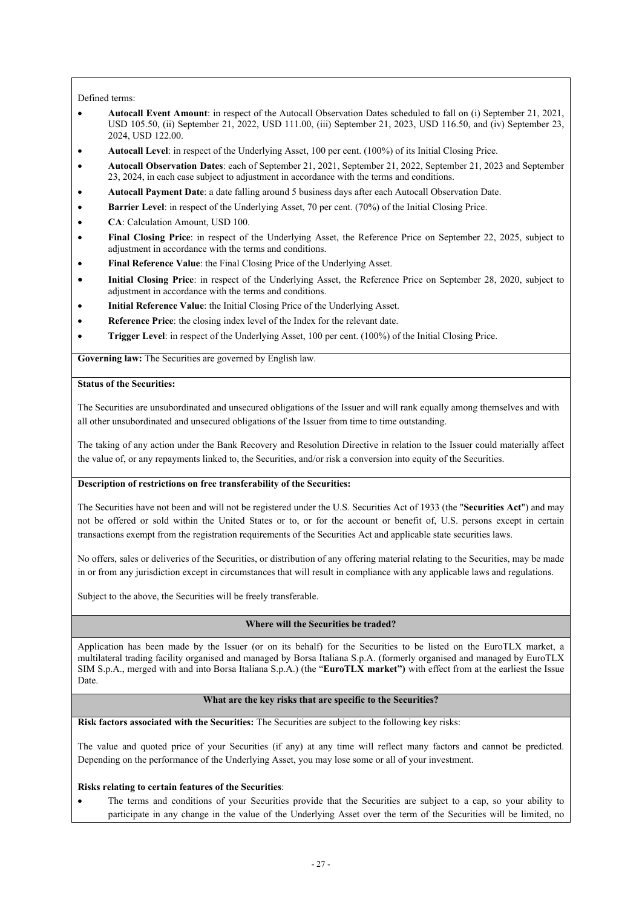### Defined terms:

- **Autocall Event Amount**: in respect of the Autocall Observation Dates scheduled to fall on (i) September 21, 2021, USD 105.50, (ii) September 21, 2022, USD 111.00, (iii) September 21, 2023, USD 116.50, and (iv) September 23, 2024, USD 122.00.
- **Autocall Level**: in respect of the Underlying Asset, 100 per cent. (100%) of its Initial Closing Price.
- **Autocall Observation Dates**: each of September 21, 2021, September 21, 2022, September 21, 2023 and September 23, 2024, in each case subject to adjustment in accordance with the terms and conditions.
- **Autocall Payment Date**: a date falling around 5 business days after each Autocall Observation Date.
- **Barrier Level**: in respect of the Underlying Asset, 70 per cent. (70%) of the Initial Closing Price.
- **CA**: Calculation Amount, USD 100.
- **Final Closing Price**: in respect of the Underlying Asset, the Reference Price on September 22, 2025, subject to adjustment in accordance with the terms and conditions.
- **Final Reference Value**: the Final Closing Price of the Underlying Asset.
- **Initial Closing Price**: in respect of the Underlying Asset, the Reference Price on September 28, 2020, subject to adjustment in accordance with the terms and conditions.
- **Initial Reference Value**: the Initial Closing Price of the Underlying Asset.
- **Reference Price**: the closing index level of the Index for the relevant date.
- **Trigger Level**: in respect of the Underlying Asset, 100 per cent. (100%) of the Initial Closing Price.

**Governing law:** The Securities are governed by English law.

#### **Status of the Securities:**

The Securities are unsubordinated and unsecured obligations of the Issuer and will rank equally among themselves and with all other unsubordinated and unsecured obligations of the Issuer from time to time outstanding.

The taking of any action under the Bank Recovery and Resolution Directive in relation to the Issuer could materially affect the value of, or any repayments linked to, the Securities, and/or risk a conversion into equity of the Securities.

#### **Description of restrictions on free transferability of the Securities:**

The Securities have not been and will not be registered under the U.S. Securities Act of 1933 (the "**Securities Act**") and may not be offered or sold within the United States or to, or for the account or benefit of, U.S. persons except in certain transactions exempt from the registration requirements of the Securities Act and applicable state securities laws.

No offers, sales or deliveries of the Securities, or distribution of any offering material relating to the Securities, may be made in or from any jurisdiction except in circumstances that will result in compliance with any applicable laws and regulations.

Subject to the above, the Securities will be freely transferable.

### **Where will the Securities be traded?**

Application has been made by the Issuer (or on its behalf) for the Securities to be listed on the EuroTLX market, a multilateral trading facility organised and managed by Borsa Italiana S.p.A. (formerly organised and managed by EuroTLX SIM S.p.A., merged with and into Borsa Italiana S.p.A.) (the "**EuroTLX market")** with effect from at the earliest the Issue Date.

#### **What are the key risks that are specific to the Securities?**

**Risk factors associated with the Securities:** The Securities are subject to the following key risks:

The value and quoted price of your Securities (if any) at any time will reflect many factors and cannot be predicted. Depending on the performance of the Underlying Asset, you may lose some or all of your investment.

#### **Risks relating to certain features of the Securities**:

 The terms and conditions of your Securities provide that the Securities are subject to a cap, so your ability to participate in any change in the value of the Underlying Asset over the term of the Securities will be limited, no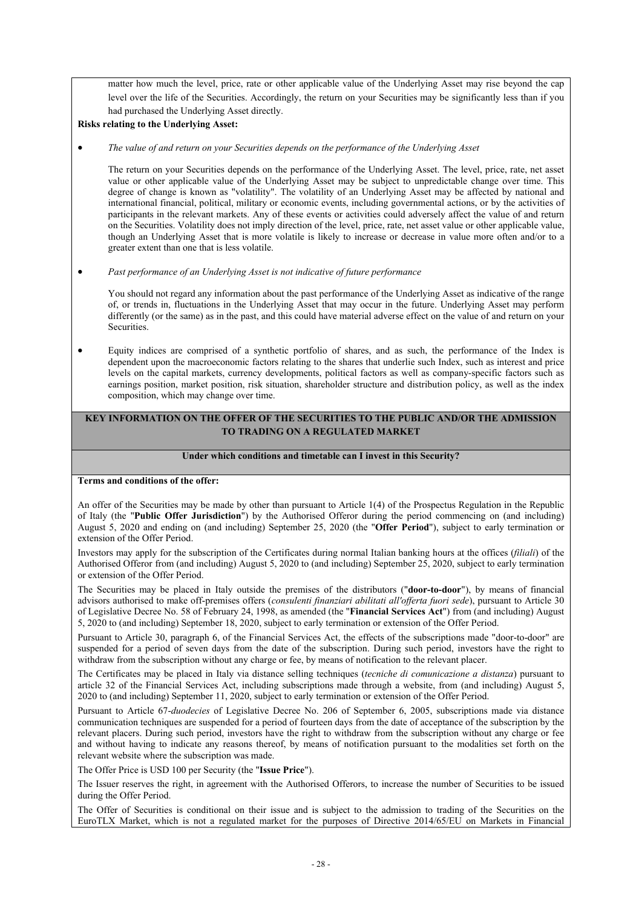matter how much the level, price, rate or other applicable value of the Underlying Asset may rise beyond the cap level over the life of the Securities. Accordingly, the return on your Securities may be significantly less than if you had purchased the Underlying Asset directly.

**Risks relating to the Underlying Asset:**

*The value of and return on your Securities depends on the performance of the Underlying Asset*

The return on your Securities depends on the performance of the Underlying Asset. The level, price, rate, net asset value or other applicable value of the Underlying Asset may be subject to unpredictable change over time. This degree of change is known as "volatility". The volatility of an Underlying Asset may be affected by national and international financial, political, military or economic events, including governmental actions, or by the activities of participants in the relevant markets. Any of these events or activities could adversely affect the value of and return on the Securities. Volatility does not imply direction of the level, price, rate, net asset value or other applicable value, though an Underlying Asset that is more volatile is likely to increase or decrease in value more often and/or to a greater extent than one that is less volatile.

*Past performance of an Underlying Asset is not indicative of future performance*

You should not regard any information about the past performance of the Underlying Asset as indicative of the range of, or trends in, fluctuations in the Underlying Asset that may occur in the future. Underlying Asset may perform differently (or the same) as in the past, and this could have material adverse effect on the value of and return on your **Securities** 

 Equity indices are comprised of a synthetic portfolio of shares, and as such, the performance of the Index is dependent upon the macroeconomic factors relating to the shares that underlie such Index, such as interest and price levels on the capital markets, currency developments, political factors as well as company-specific factors such as earnings position, market position, risk situation, shareholder structure and distribution policy, as well as the index composition, which may change over time.

# **KEY INFORMATION ON THE OFFER OF THE SECURITIES TO THE PUBLIC AND/OR THE ADMISSION TO TRADING ON A REGULATED MARKET**

#### **Under which conditions and timetable can I invest in this Security?**

**Terms and conditions of the offer:**

An offer of the Securities may be made by other than pursuant to Article 1(4) of the Prospectus Regulation in the Republic of Italy (the "**Public Offer Jurisdiction**") by the Authorised Offeror during the period commencing on (and including) August 5, 2020 and ending on (and including) September 25, 2020 (the "**Offer Period**"), subject to early termination or extension of the Offer Period.

Investors may apply for the subscription of the Certificates during normal Italian banking hours at the offices (*filiali*) of the Authorised Offeror from (and including) August 5, 2020 to (and including) September 25, 2020, subject to early termination or extension of the Offer Period.

The Securities may be placed in Italy outside the premises of the distributors ("**door-to-door**"), by means of financial advisors authorised to make off-premises offers (*consulenti finanziari abilitati all'offerta fuori sede*), pursuant to Article 30 of Legislative Decree No. 58 of February 24, 1998, as amended (the "**Financial Services Act**") from (and including) August 5, 2020 to (and including) September 18, 2020, subject to early termination or extension of the Offer Period.

Pursuant to Article 30, paragraph 6, of the Financial Services Act, the effects of the subscriptions made "door-to-door" are suspended for a period of seven days from the date of the subscription. During such period, investors have the right to withdraw from the subscription without any charge or fee, by means of notification to the relevant placer.

The Certificates may be placed in Italy via distance selling techniques (*tecniche di comunicazione a distanza*) pursuant to article 32 of the Financial Services Act, including subscriptions made through a website, from (and including) August 5, 2020 to (and including) September 11, 2020, subject to early termination or extension of the Offer Period.

Pursuant to Article 67-*duodecies* of Legislative Decree No. 206 of September 6, 2005, subscriptions made via distance communication techniques are suspended for a period of fourteen days from the date of acceptance of the subscription by the relevant placers. During such period, investors have the right to withdraw from the subscription without any charge or fee and without having to indicate any reasons thereof, by means of notification pursuant to the modalities set forth on the relevant website where the subscription was made.

The Offer Price is USD 100 per Security (the "**Issue Price**").

The Issuer reserves the right, in agreement with the Authorised Offerors, to increase the number of Securities to be issued during the Offer Period.

The Offer of Securities is conditional on their issue and is subject to the admission to trading of the Securities on the EuroTLX Market, which is not a regulated market for the purposes of Directive 2014/65/EU on Markets in Financial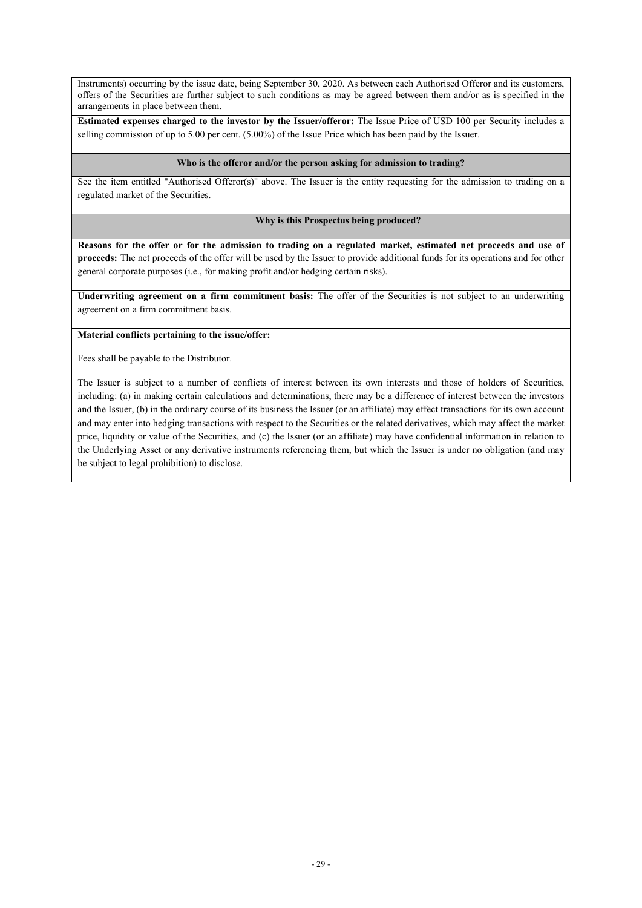Instruments) occurring by the issue date, being September 30, 2020. As between each Authorised Offeror and its customers, offers of the Securities are further subject to such conditions as may be agreed between them and/or as is specified in the arrangements in place between them.

**Estimated expenses charged to the investor by the Issuer/offeror:** The Issue Price of USD 100 per Security includes a selling commission of up to 5.00 per cent. (5.00%) of the Issue Price which has been paid by the Issuer.

### **Who is the offeror and/or the person asking for admission to trading?**

See the item entitled "Authorised Offeror(s)" above. The Issuer is the entity requesting for the admission to trading on a regulated market of the Securities.

### **Why is this Prospectus being produced?**

**Reasons for the offer or for the admission to trading on a regulated market, estimated net proceeds and use of proceeds:** The net proceeds of the offer will be used by the Issuer to provide additional funds for its operations and for other general corporate purposes (i.e., for making profit and/or hedging certain risks).

**Underwriting agreement on a firm commitment basis:** The offer of the Securities is not subject to an underwriting agreement on a firm commitment basis.

### **Material conflicts pertaining to the issue/offer:**

Fees shall be payable to the Distributor.

The Issuer is subject to a number of conflicts of interest between its own interests and those of holders of Securities, including: (a) in making certain calculations and determinations, there may be a difference of interest between the investors and the Issuer, (b) in the ordinary course of its business the Issuer (or an affiliate) may effect transactions for its own account and may enter into hedging transactions with respect to the Securities or the related derivatives, which may affect the market price, liquidity or value of the Securities, and (c) the Issuer (or an affiliate) may have confidential information in relation to the Underlying Asset or any derivative instruments referencing them, but which the Issuer is under no obligation (and may be subject to legal prohibition) to disclose.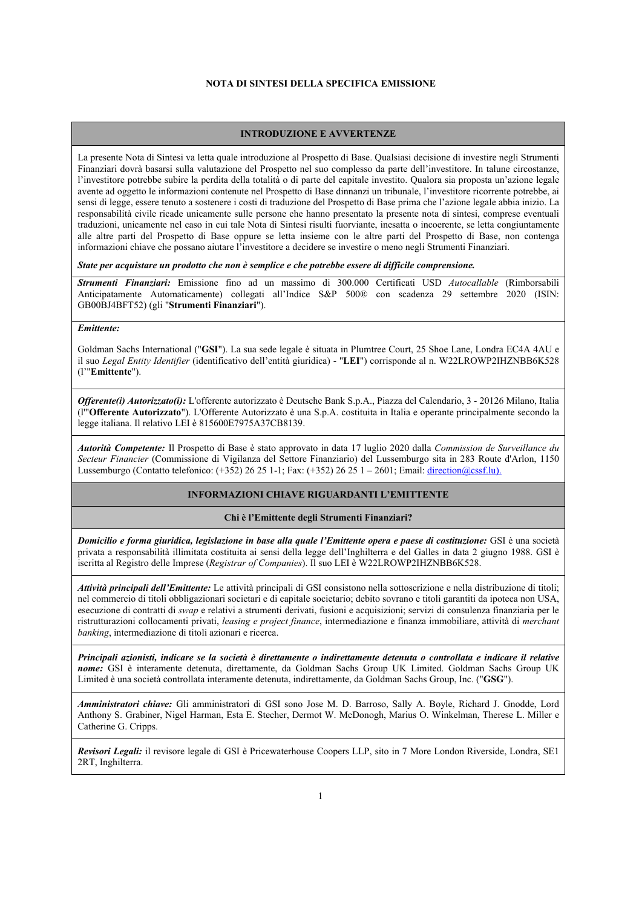#### **NOTA DI SINTESI DELLA SPECIFICA EMISSIONE**

#### **INTRODUZIONE E AVVERTENZE**

La presente Nota di Sintesi va letta quale introduzione al Prospetto di Base. Qualsiasi decisione di investire negli Strumenti Finanziari dovrà basarsi sulla valutazione del Prospetto nel suo complesso da parte dell'investitore. In talune circostanze, l'investitore potrebbe subire la perdita della totalità o di parte del capitale investito. Qualora sia proposta un'azione legale avente ad oggetto le informazioni contenute nel Prospetto di Base dinnanzi un tribunale, l'investitore ricorrente potrebbe, ai sensi di legge, essere tenuto a sostenere i costi di traduzione del Prospetto di Base prima che l'azione legale abbia inizio. La responsabilità civile ricade unicamente sulle persone che hanno presentato la presente nota di sintesi, comprese eventuali traduzioni, unicamente nel caso in cui tale Nota di Sintesi risulti fuorviante, inesatta o incoerente, se letta congiuntamente alle altre parti del Prospetto di Base oppure se letta insieme con le altre parti del Prospetto di Base, non contenga informazioni chiave che possano aiutare l'investitore a decidere se investire o meno negli Strumenti Finanziari.

*State per acquistare un prodotto che non è semplice e che potrebbe essere di difficile comprensione.* 

*Strumenti Finanziari:* Emissione fino ad un massimo di 300.000 Certificati USD *Autocallable* (Rimborsabili Anticipatamente Automaticamente) collegati all'Indice S&P 500® con scadenza 29 settembre 2020 (ISIN: GB00BJ4BFT52) (gli "**Strumenti Finanziari**").

# *Emittente:*

Goldman Sachs International ("**GSI**"). La sua sede legale è situata in Plumtree Court, 25 Shoe Lane, Londra EC4A 4AU e il suo *Legal Entity Identifier* (identificativo dell'entità giuridica) - "**LEI**") corrisponde al n. W22LROWP2IHZNBB6K528 (l'"**Emittente**").

*Offerente(i) Autorizzato(i):* L'offerente autorizzato è Deutsche Bank S.p.A., Piazza del Calendario, 3 - 20126 Milano, Italia (l'"**Offerente Autorizzato**"). L'Offerente Autorizzato è una S.p.A. costituita in Italia e operante principalmente secondo la legge italiana. Il relativo LEI è 815600E7975A37CB8139.

*Autorità Competente:* Il Prospetto di Base è stato approvato in data 17 luglio 2020 dalla *Commission de Surveillance du Secteur Financier* (Commissione di Vigilanza del Settore Finanziario) del Lussemburgo sita in 283 Route d'Arlon, 1150 Lussemburgo (Contatto telefonico:  $(+352)$  26 25 1-1; Fax:  $(+352)$  26 25 1 – 2601; Email: direction@cssf.lu).

#### **INFORMAZIONI CHIAVE RIGUARDANTI L'EMITTENTE**

#### **Chi è l'Emittente degli Strumenti Finanziari?**

*Domicilio e forma giuridica, legislazione in base alla quale l'Emittente opera e paese di costituzione:* GSI è una società privata a responsabilità illimitata costituita ai sensi della legge dell'Inghilterra e del Galles in data 2 giugno 1988. GSI è iscritta al Registro delle Imprese (*Registrar of Companies*). Il suo LEI è W22LROWP2IHZNBB6K528.

*Attività principali dell'Emittente:* Le attività principali di GSI consistono nella sottoscrizione e nella distribuzione di titoli; nel commercio di titoli obbligazionari societari e di capitale societario; debito sovrano e titoli garantiti da ipoteca non USA, esecuzione di contratti di *swap* e relativi a strumenti derivati, fusioni e acquisizioni; servizi di consulenza finanziaria per le ristrutturazioni collocamenti privati, *leasing e project finance*, intermediazione e finanza immobiliare, attività di *merchant banking*, intermediazione di titoli azionari e ricerca.

*Principali azionisti, indicare se la società è direttamente o indirettamente detenuta o controllata e indicare il relative nome:* GSI è interamente detenuta, direttamente, da Goldman Sachs Group UK Limited. Goldman Sachs Group UK Limited è una società controllata interamente detenuta, indirettamente, da Goldman Sachs Group, Inc. ("**GSG**").

*Amministratori chiave:* Gli amministratori di GSI sono Jose M. D. Barroso, Sally A. Boyle, Richard J. Gnodde, Lord Anthony S. Grabiner, Nigel Harman, Esta E. Stecher, Dermot W. McDonogh, Marius O. Winkelman, Therese L. Miller e Catherine G. Cripps.

*Revisori Legali:* il revisore legale di GSI è Pricewaterhouse Coopers LLP, sito in 7 More London Riverside, Londra, SE1 2RT, Inghilterra.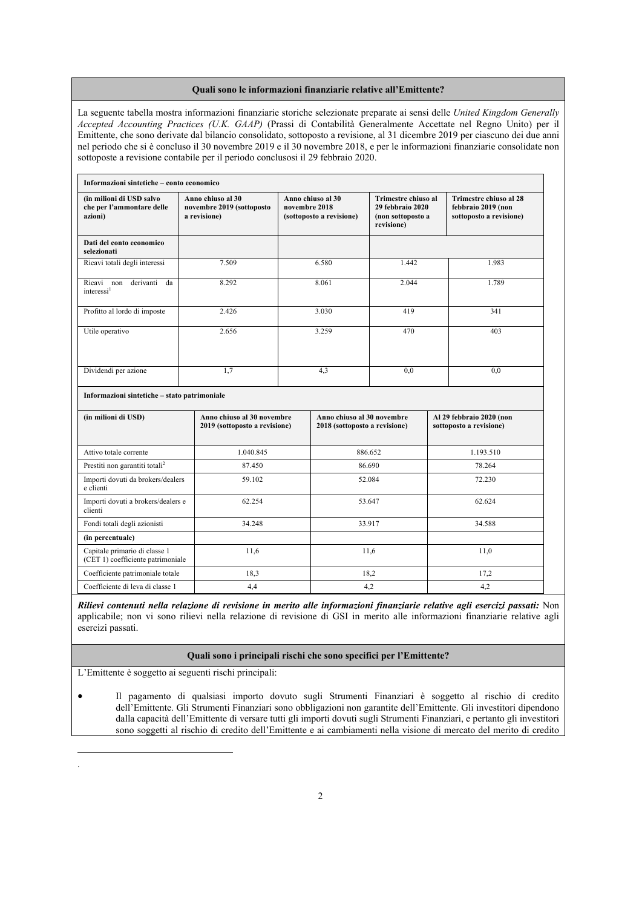#### **Quali sono le informazioni finanziarie relative all'Emittente?**

La seguente tabella mostra informazioni finanziarie storiche selezionate preparate ai sensi delle *United Kingdom Generally Accepted Accounting Practices (U.K. GAAP)* (Prassi di Contabilità Generalmente Accettate nel Regno Unito) per il Emittente, che sono derivate dal bilancio consolidato, sottoposto a revisione, al 31 dicembre 2019 per ciascuno dei due anni nel periodo che si è concluso il 30 novembre 2019 e il 30 novembre 2018, e per le informazioni finanziarie consolidate non sottoposte a revisione contabile per il periodo conclusosi il 29 febbraio 2020.

| Informazioni sintetiche – conto economico                          |                                                                |                                                                                                                                              |         |                                                             |                                                                                |                                                     |  |
|--------------------------------------------------------------------|----------------------------------------------------------------|----------------------------------------------------------------------------------------------------------------------------------------------|---------|-------------------------------------------------------------|--------------------------------------------------------------------------------|-----------------------------------------------------|--|
| (in milioni di USD salvo<br>che per l'ammontare delle<br>azioni)   | Anno chiuso al 30<br>novembre 2019 (sottoposto<br>a revisione) | Anno chiuso al 30<br>Trimestre chiuso al<br>novembre 2018<br>29 febbraio 2020<br>(sottoposto a revisione)<br>(non sottoposto a<br>revisione) |         |                                                             | <b>Trimestre chiuso al 28</b><br>febbraio 2019 (non<br>sottoposto a revisione) |                                                     |  |
| Dati del conto economico<br>selezionati                            |                                                                |                                                                                                                                              |         |                                                             |                                                                                |                                                     |  |
| Ricavi totali degli interessi                                      | 7.509                                                          | 6.580                                                                                                                                        |         | 1.442                                                       |                                                                                | 1.983                                               |  |
| derivanti da<br>Ricavi non<br>interessi <sup>1</sup>               | 8.292                                                          | 8.061                                                                                                                                        |         | 2.044                                                       |                                                                                | 1.789                                               |  |
| Profitto al lordo di imposte                                       | 2.426                                                          | 3.030                                                                                                                                        |         | 419                                                         |                                                                                | 341                                                 |  |
| Utile operativo                                                    | 2.656                                                          |                                                                                                                                              | 3.259   | 470                                                         |                                                                                | 403                                                 |  |
| Dividendi per azione                                               | 1,7                                                            |                                                                                                                                              | 4,3     | 0.0                                                         |                                                                                | 0.0                                                 |  |
| Informazioni sintetiche - stato patrimoniale                       |                                                                |                                                                                                                                              |         |                                                             |                                                                                |                                                     |  |
| (in milioni di USD)                                                |                                                                | Anno chiuso al 30 novembre<br>2019 (sottoposto a revisione)                                                                                  |         | Anno chiuso al 30 novembre<br>2018 (sottoposto a revisione) |                                                                                | Al 29 febbraio 2020 (non<br>sottoposto a revisione) |  |
| Attivo totale corrente                                             | 1.040.845                                                      |                                                                                                                                              | 886.652 |                                                             | 1.193.510                                                                      |                                                     |  |
| Prestiti non garantiti totali $^2$                                 | 87.450                                                         |                                                                                                                                              | 86.690  |                                                             | 78.264                                                                         |                                                     |  |
| Importi dovuti da brokers/dealers<br>e clienti                     | 59.102                                                         |                                                                                                                                              | 52.084  |                                                             | 72.230                                                                         |                                                     |  |
| Importi dovuti a brokers/dealers e<br>clienti                      | 62.254                                                         |                                                                                                                                              | 53.647  |                                                             | 62.624                                                                         |                                                     |  |
| Fondi totali degli azionisti                                       | 34.248                                                         |                                                                                                                                              | 33.917  |                                                             |                                                                                | 34.588                                              |  |
| (in percentuale)                                                   |                                                                |                                                                                                                                              |         |                                                             |                                                                                |                                                     |  |
| Capitale primario di classe 1<br>(CET 1) coefficiente patrimoniale | 11,6                                                           |                                                                                                                                              | 11,6    |                                                             |                                                                                | 11,0                                                |  |
| Coefficiente patrimoniale totale                                   | 18,3                                                           |                                                                                                                                              | 18,2    |                                                             |                                                                                | 17,2                                                |  |
| Coefficiente di leva di classe 1                                   | 4,4                                                            |                                                                                                                                              | 4,2     |                                                             |                                                                                | 4,2                                                 |  |

*Rilievi contenuti nella relazione di revisione in merito alle informazioni finanziarie relative agli esercizi passati:* Non applicabile; non vi sono rilievi nella relazione di revisione di GSI in merito alle informazioni finanziarie relative agli esercizi passati.

#### **Quali sono i principali rischi che sono specifici per l'Emittente?**

L'Emittente è soggetto ai seguenti rischi principali:

-.

 Il pagamento di qualsiasi importo dovuto sugli Strumenti Finanziari è soggetto al rischio di credito dell'Emittente. Gli Strumenti Finanziari sono obbligazioni non garantite dell'Emittente. Gli investitori dipendono dalla capacità dell'Emittente di versare tutti gli importi dovuti sugli Strumenti Finanziari, e pertanto gli investitori sono soggetti al rischio di credito dell'Emittente e ai cambiamenti nella visione di mercato del merito di credito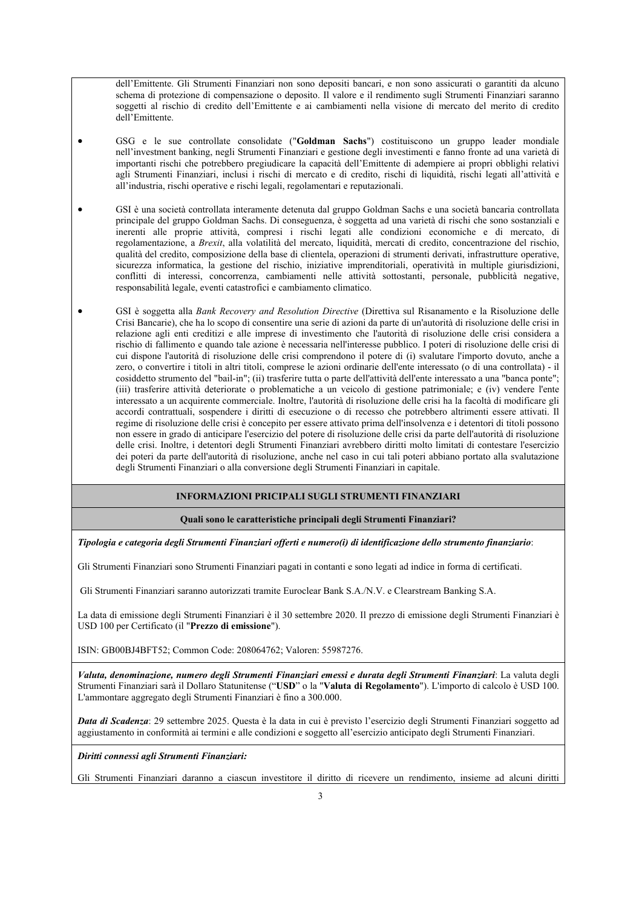dell'Emittente. Gli Strumenti Finanziari non sono depositi bancari, e non sono assicurati o garantiti da alcuno schema di protezione di compensazione o deposito. Il valore e il rendimento sugli Strumenti Finanziari saranno soggetti al rischio di credito dell'Emittente e ai cambiamenti nella visione di mercato del merito di credito dell'Emittente.

- GSG e le sue controllate consolidate ("**Goldman Sachs**") costituiscono un gruppo leader mondiale nell'investment banking, negli Strumenti Finanziari e gestione degli investimenti e fanno fronte ad una varietà di importanti rischi che potrebbero pregiudicare la capacità dell'Emittente di adempiere ai propri obblighi relativi agli Strumenti Finanziari, inclusi i rischi di mercato e di credito, rischi di liquidità, rischi legati all'attività e all'industria, rischi operative e rischi legali, regolamentari e reputazionali.
- GSI è una società controllata interamente detenuta dal gruppo Goldman Sachs e una società bancaria controllata principale del gruppo Goldman Sachs. Di conseguenza, è soggetta ad una varietà di rischi che sono sostanziali e inerenti alle proprie attività, compresi i rischi legati alle condizioni economiche e di mercato, di regolamentazione, a *Brexit*, alla volatilità del mercato, liquidità, mercati di credito, concentrazione del rischio, qualità del credito, composizione della base di clientela, operazioni di strumenti derivati, infrastrutture operative, sicurezza informatica, la gestione del rischio, iniziative imprenditoriali, operatività in multiple giurisdizioni, conflitti di interessi, concorrenza, cambiamenti nelle attività sottostanti, personale, pubblicità negative, responsabilità legale, eventi catastrofici e cambiamento climatico.
- GSI è soggetta alla *Bank Recovery and Resolution Directive* (Direttiva sul Risanamento e la Risoluzione delle Crisi Bancarie), che ha lo scopo di consentire una serie di azioni da parte di un'autorità di risoluzione delle crisi in relazione agli enti creditizi e alle imprese di investimento che l'autorità di risoluzione delle crisi considera a rischio di fallimento e quando tale azione è necessaria nell'interesse pubblico. I poteri di risoluzione delle crisi di cui dispone l'autorità di risoluzione delle crisi comprendono il potere di (i) svalutare l'importo dovuto, anche a zero, o convertire i titoli in altri titoli, comprese le azioni ordinarie dell'ente interessato (o di una controllata) - il cosiddetto strumento del "bail-in"; (ii) trasferire tutta o parte dell'attività dell'ente interessato a una "banca ponte"; (iii) trasferire attività deteriorate o problematiche a un veicolo di gestione patrimoniale; e (iv) vendere l'ente interessato a un acquirente commerciale. Inoltre, l'autorità di risoluzione delle crisi ha la facoltà di modificare gli accordi contrattuali, sospendere i diritti di esecuzione o di recesso che potrebbero altrimenti essere attivati. Il regime di risoluzione delle crisi è concepito per essere attivato prima dell'insolvenza e i detentori di titoli possono non essere in grado di anticipare l'esercizio del potere di risoluzione delle crisi da parte dell'autorità di risoluzione delle crisi. Inoltre, i detentori degli Strumenti Finanziari avrebbero diritti molto limitati di contestare l'esercizio dei poteri da parte dell'autorità di risoluzione, anche nel caso in cui tali poteri abbiano portato alla svalutazione degli Strumenti Finanziari o alla conversione degli Strumenti Finanziari in capitale.

### **INFORMAZIONI PRICIPALI SUGLI STRUMENTI FINANZIARI**

#### **Quali sono le caratteristiche principali degli Strumenti Finanziari?**

*Tipologia e categoria degli Strumenti Finanziari offerti e numero(i) di identificazione dello strumento finanziario*:

Gli Strumenti Finanziari sono Strumenti Finanziari pagati in contanti e sono legati ad indice in forma di certificati.

Gli Strumenti Finanziari saranno autorizzati tramite Euroclear Bank S.A./N.V. e Clearstream Banking S.A.

La data di emissione degli Strumenti Finanziari è il 30 settembre 2020. Il prezzo di emissione degli Strumenti Finanziari è USD 100 per Certificato (il "**Prezzo di emissione**").

ISIN: GB00BJ4BFT52; Common Code: 208064762; Valoren: 55987276.

*Valuta, denominazione, numero degli Strumenti Finanziari emessi e durata degli Strumenti Finanziari*: La valuta degli Strumenti Finanziari sarà il Dollaro Statunitense ("**USD**" o la "**Valuta di Regolamento**"). L'importo di calcolo è USD 100. L'ammontare aggregato degli Strumenti Finanziari è fino a 300.000.

*Data di Scadenza*: 29 settembre 2025. Questa è la data in cui è previsto l'esercizio degli Strumenti Finanziari soggetto ad aggiustamento in conformità ai termini e alle condizioni e soggetto all'esercizio anticipato degli Strumenti Finanziari.

*Diritti connessi agli Strumenti Finanziari:* 

Gli Strumenti Finanziari daranno a ciascun investitore il diritto di ricevere un rendimento, insieme ad alcuni diritti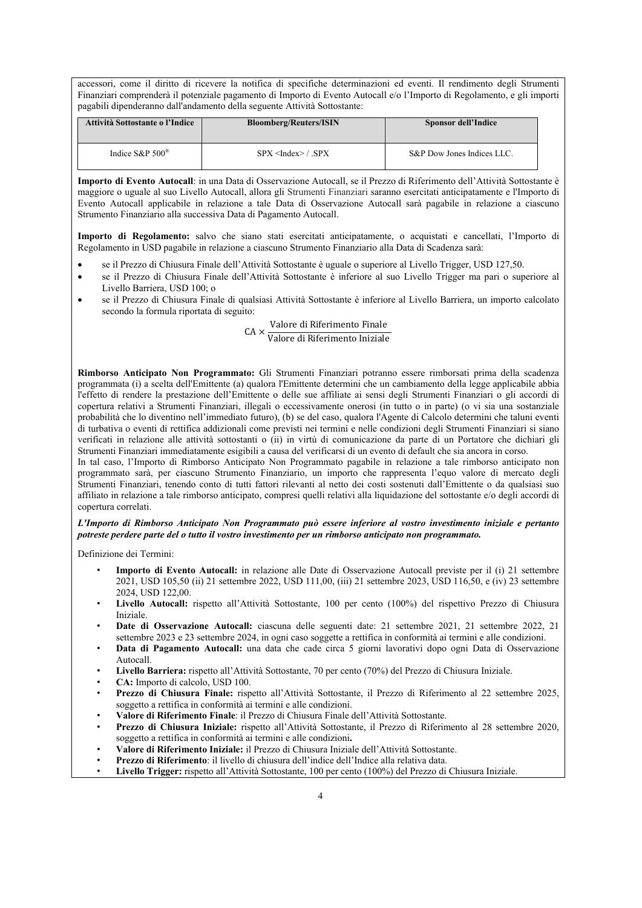accessori, come il diritto di ricevere la notifica di specifiche determinazioni ed eventi. Il rendimento degli Strumenti Finanziari comprenderà il potenziale pagamento di Importo di Evento Autocall e/o l'Importo di Regolamento, e gli importi pagabili dipenderanno dall'andamento della seguente Attività Sottostante:

| Attività Sottostante o l'Indice | <b>Bloomberg/Reuters/ISIN</b> | <b>Sponsor dell'Indice</b> |
|---------------------------------|-------------------------------|----------------------------|
| Indice S&P $500^{\circ}$        | SPX < Index > / SPX           | S&P Dow Jones Indices LLC. |

**Importo di Evento Autocall**: in una Data di Osservazione Autocall, se il Prezzo di Riferimento dell'Attività Sottostante è maggiore o uguale al suo Livello Autocall, allora gli Strumenti Finanziari saranno esercitati anticipatamente e l'Importo di Evento Autocall applicabile in relazione a tale Data di Osservazione Autocall sarà pagabile in relazione a ciascuno Strumento Finanziario alla successiva Data di Pagamento Autocall.

**Importo di Regolamento:** salvo che siano stati esercitati anticipatamente, o acquistati e cancellati, l'Importo di Regolamento in USD pagabile in relazione a ciascuno Strumento Finanziario alla Data di Scadenza sarà:

- se il Prezzo di Chiusura Finale dell'Attività Sottostante è uguale o superiore al Livello Trigger, USD 127,50.
- se il Prezzo di Chiusura Finale dell'Attività Sottostante è inferiore al suo Livello Trigger ma pari o superiore al Livello Barriera, USD 100; o
- se il Prezzo di Chiusura Finale di qualsiasi Attività Sottostante è inferiore al Livello Barriera, un importo calcolato secondo la formula riportata di seguito:

# CA × Valore di Riferimento Finale<br>CA × Valore di Riferimento Iniziale

#### Valore di Riferimento Iniziale

**Rimborso Anticipato Non Programmato:** Gli Strumenti Finanziari potranno essere rimborsati prima della scadenza programmata (i) a scelta dell'Emittente (a) qualora l'Emittente determini che un cambiamento della legge applicabile abbia l'effetto di rendere la prestazione dell'Emittente o delle sue affiliate ai sensi degli Strumenti Finanziari o gli accordi di copertura relativi a Strumenti Finanziari, illegali o eccessivamente onerosi (in tutto o in parte) (o vi sia una sostanziale probabilità che lo diventino nell'immediato futuro), (b) se del caso, qualora l'Agente di Calcolo determini che taluni eventi di turbativa o eventi di rettifica addizionali come previsti nei termini e nelle condizioni degli Strumenti Finanziari si siano verificati in relazione alle attività sottostanti o (ii) in virtù di comunicazione da parte di un Portatore che dichiari gli Strumenti Finanziari immediatamente esigibili a causa del verificarsi di un evento di default che sia ancora in corso.

In tal caso, l'Importo di Rimborso Anticipato Non Programmato pagabile in relazione a tale rimborso anticipato non programmato sarà, per ciascuno Strumento Finanziario, un importo che rappresenta l'equo valore di mercato degli Strumenti Finanziari, tenendo conto di tutti fattori rilevanti al netto dei costi sostenuti dall'Emittente o da qualsiasi suo affiliato in relazione a tale rimborso anticipato, compresi quelli relativi alla liquidazione del sottostante e/o degli accordi di copertura correlati.

#### *L'Importo di Rimborso Anticipato Non Programmato può essere inferiore al vostro investimento iniziale e pertanto potreste perdere parte del o tutto il vostro investimento per un rimborso anticipato non programmato.*

Definizione dei Termini:

- **Importo di Evento Autocall:** in relazione alle Date di Osservazione Autocall previste per il (i) 21 settembre 2021, USD 105,50 (ii) 21 settembre 2022, USD 111,00, (iii) 21 settembre 2023, USD 116,50, e (iv) 23 settembre 2024, USD 122,00.
- **Livello Autocall:** rispetto all'Attività Sottostante, 100 per cento (100%) del rispettivo Prezzo di Chiusura Iniziale.
- **Date di Osservazione Autocall:** ciascuna delle seguenti date: 21 settembre 2021, 21 settembre 2022, 21 settembre 2023 e 23 settembre 2024, in ogni caso soggette a rettifica in conformità ai termini e alle condizioni.
- **Data di Pagamento Autocall:** una data che cade circa 5 giorni lavorativi dopo ogni Data di Osservazione Autocall.
- **Livello Barriera:** rispetto all'Attività Sottostante, 70 per cento (70%) del Prezzo di Chiusura Iniziale.
- **CA:** Importo di calcolo, USD 100.
- **Prezzo di Chiusura Finale:** rispetto all'Attività Sottostante, il Prezzo di Riferimento al 22 settembre 2025, soggetto a rettifica in conformità ai termini e alle condizioni.
- **Valore di Riferimento Finale**: il Prezzo di Chiusura Finale dell'Attività Sottostante.
- **Prezzo di Chiusura Iniziale:** rispetto all'Attività Sottostante, il Prezzo di Riferimento al 28 settembre 2020, soggetto a rettifica in conformità ai termini e alle condizioni**.**
- **Valore di Riferimento Iniziale:** il Prezzo di Chiusura Iniziale dell'Attività Sottostante.
- **Prezzo di Riferimento**: il livello di chiusura dell'indice dell'Indice alla relativa data.
- **Livello Trigger:** rispetto all'Attività Sottostante, 100 per cento (100%) del Prezzo di Chiusura Iniziale.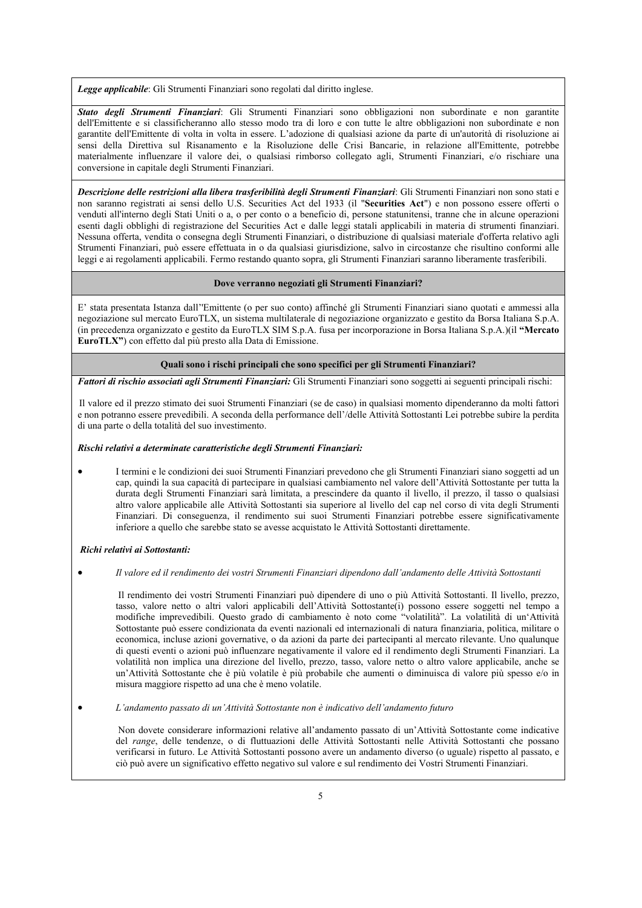*Legge applicabile*: Gli Strumenti Finanziari sono regolati dal diritto inglese.

*Stato degli Strumenti Finanziari*: Gli Strumenti Finanziari sono obbligazioni non subordinate e non garantite dell'Emittente e si classificheranno allo stesso modo tra di loro e con tutte le altre obbligazioni non subordinate e non garantite dell'Emittente di volta in volta in essere. L'adozione di qualsiasi azione da parte di un'autorità di risoluzione ai sensi della Direttiva sul Risanamento e la Risoluzione delle Crisi Bancarie, in relazione all'Emittente, potrebbe materialmente influenzare il valore dei, o qualsiasi rimborso collegato agli, Strumenti Finanziari, e/o rischiare una conversione in capitale degli Strumenti Finanziari.

*Descrizione delle restrizioni alla libera trasferibilità degli Strumenti Finanziari*: Gli Strumenti Finanziari non sono stati e non saranno registrati ai sensi dello U.S. Securities Act del 1933 (il "**Securities Act**") e non possono essere offerti o venduti all'interno degli Stati Uniti o a, o per conto o a beneficio di, persone statunitensi, tranne che in alcune operazioni esenti dagli obblighi di registrazione del Securities Act e dalle leggi statali applicabili in materia di strumenti finanziari. Nessuna offerta, vendita o consegna degli Strumenti Finanziari, o distribuzione di qualsiasi materiale d'offerta relativo agli Strumenti Finanziari, può essere effettuata in o da qualsiasi giurisdizione, salvo in circostanze che risultino conformi alle leggi e ai regolamenti applicabili. Fermo restando quanto sopra, gli Strumenti Finanziari saranno liberamente trasferibili.

#### **Dove verranno negoziati gli Strumenti Finanziari?**

E' stata presentata Istanza dall''Emittente (o per suo conto) affinché gli Strumenti Finanziari siano quotati e ammessi alla negoziazione sul mercato EuroTLX, un sistema multilaterale di negoziazione organizzato e gestito da Borsa Italiana S.p.A. (in precedenza organizzato e gestito da EuroTLX SIM S.p.A. fusa per incorporazione in Borsa Italiana S.p.A.)(il **"Mercato EuroTLX"**) con effetto dal più presto alla Data di Emissione.

**Quali sono i rischi principali che sono specifici per gli Strumenti Finanziari?**

*Fattori di rischio associati agli Strumenti Finanziari:* Gli Strumenti Finanziari sono soggetti ai seguenti principali rischi:

Il valore ed il prezzo stimato dei suoi Strumenti Finanziari (se de caso) in qualsiasi momento dipenderanno da molti fattori e non potranno essere prevedibili. A seconda della performance dell'/delle Attività Sottostanti Lei potrebbe subire la perdita di una parte o della totalità del suo investimento.

#### *Rischi relativi a determinate caratteristiche degli Strumenti Finanziari:*

 I termini e le condizioni dei suoi Strumenti Finanziari prevedono che gli Strumenti Finanziari siano soggetti ad un cap, quindi la sua capacità di partecipare in qualsiasi cambiamento nel valore dell'Attività Sottostante per tutta la durata degli Strumenti Finanziari sarà limitata, a prescindere da quanto il livello, il prezzo, il tasso o qualsiasi altro valore applicabile alle Attività Sottostanti sia superiore al livello del cap nel corso di vita degli Strumenti Finanziari. Di conseguenza, il rendimento sui suoi Strumenti Finanziari potrebbe essere significativamente inferiore a quello che sarebbe stato se avesse acquistato le Attività Sottostanti direttamente.

#### *Richi relativi ai Sottostanti:*

*Il valore ed il rendimento dei vostri Strumenti Finanziari dipendono dall'andamento delle Attività Sottostanti*

Il rendimento dei vostri Strumenti Finanziari può dipendere di uno o più Attività Sottostanti. Il livello, prezzo, tasso, valore netto o altri valori applicabili dell'Attività Sottostante(i) possono essere soggetti nel tempo a modifiche imprevedibili. Questo grado di cambiamento è noto come "volatilità". La volatilità di un'Attività Sottostante può essere condizionata da eventi nazionali ed internazionali di natura finanziaria, politica, militare o economica, incluse azioni governative, o da azioni da parte dei partecipanti al mercato rilevante. Uno qualunque di questi eventi o azioni può influenzare negativamente il valore ed il rendimento degli Strumenti Finanziari. La volatilità non implica una direzione del livello, prezzo, tasso, valore netto o altro valore applicabile, anche se un'Attività Sottostante che è più volatile è più probabile che aumenti o diminuisca di valore più spesso e/o in misura maggiore rispetto ad una che è meno volatile.

*L'andamento passato di un'Attività Sottostante non è indicativo dell'andamento futuro*

Non dovete considerare informazioni relative all'andamento passato di un'Attività Sottostante come indicative del *range*, delle tendenze, o di fluttuazioni delle Attività Sottostanti nelle Attività Sottostanti che possano verificarsi in futuro. Le Attività Sottostanti possono avere un andamento diverso (o uguale) rispetto al passato, e ciò può avere un significativo effetto negativo sul valore e sul rendimento dei Vostri Strumenti Finanziari.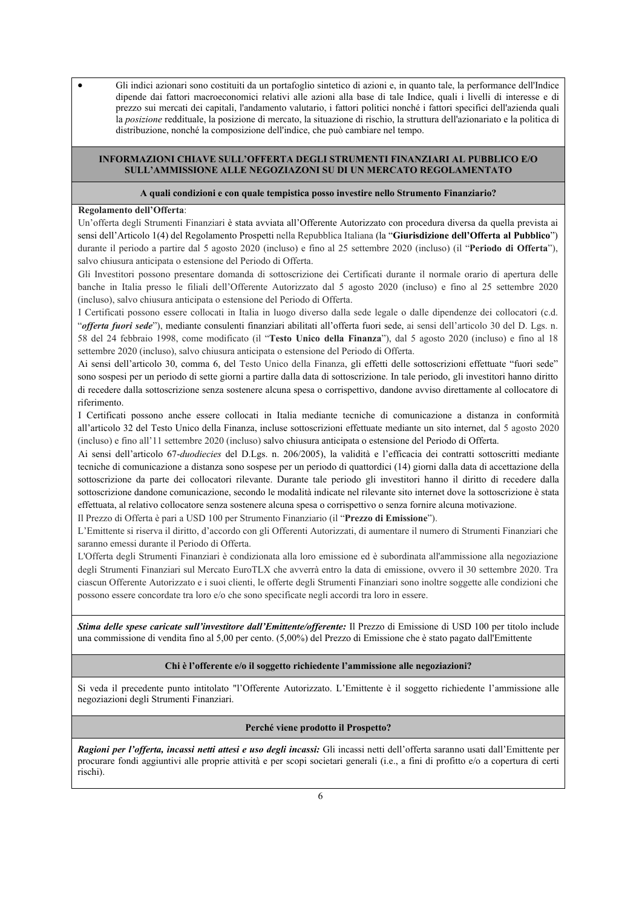Gli indici azionari sono costituiti da un portafoglio sintetico di azioni e, in quanto tale, la performance dell'Indice dipende dai fattori macroeconomici relativi alle azioni alla base di tale Indice, quali i livelli di interesse e di prezzo sui mercati dei capitali, l'andamento valutario, i fattori politici nonché i fattori specifici dell'azienda quali la *posizione* reddituale, la posizione di mercato, la situazione di rischio, la struttura dell'azionariato e la politica di distribuzione, nonché la composizione dell'indice, che può cambiare nel tempo.

#### **INFORMAZIONI CHIAVE SULL'OFFERTA DEGLI STRUMENTI FINANZIARI AL PUBBLICO E/O SULL'AMMISSIONE ALLE NEGOZIAZONI SU DI UN MERCATO REGOLAMENTATO**

#### **A quali condizioni e con quale tempistica posso investire nello Strumento Finanziario?**

#### **Regolamento dell'Offerta**:

Un'offerta degli Strumenti Finanziari è stata avviata all'Offerente Autorizzato con procedura diversa da quella prevista ai sensi dell'Articolo 1(4) del Regolamento Prospetti nella Repubblica Italiana (la "**Giurisdizione dell'Offerta al Pubblico**") durante il periodo a partire dal 5 agosto 2020 (incluso) e fino al 25 settembre 2020 (incluso) (il "**Periodo di Offerta**"), salvo chiusura anticipata o estensione del Periodo di Offerta.

Gli Investitori possono presentare domanda di sottoscrizione dei Certificati durante il normale orario di apertura delle banche in Italia presso le filiali dell'Offerente Autorizzato dal 5 agosto 2020 (incluso) e fino al 25 settembre 2020 (incluso), salvo chiusura anticipata o estensione del Periodo di Offerta.

I Certificati possono essere collocati in Italia in luogo diverso dalla sede legale o dalle dipendenze dei collocatori (c.d. "*offerta fuori sede*"), mediante consulenti finanziari abilitati all'offerta fuori sede, ai sensi dell'articolo 30 del D. Lgs. n. 58 del 24 febbraio 1998, come modificato (il "**Testo Unico della Finanza**"), dal 5 agosto 2020 (incluso) e fino al 18 settembre 2020 (incluso), salvo chiusura anticipata o estensione del Periodo di Offerta.

Ai sensi dell'articolo 30, comma 6, del Testo Unico della Finanza, gli effetti delle sottoscrizioni effettuate "fuori sede" sono sospesi per un periodo di sette giorni a partire dalla data di sottoscrizione. In tale periodo, gli investitori hanno diritto di recedere dalla sottoscrizione senza sostenere alcuna spesa o corrispettivo, dandone avviso direttamente al collocatore di riferimento.

I Certificati possono anche essere collocati in Italia mediante tecniche di comunicazione a distanza in conformità all'articolo 32 del Testo Unico della Finanza, incluse sottoscrizioni effettuate mediante un sito internet, dal 5 agosto 2020 (incluso) e fino all'11 settembre 2020 (incluso) salvo chiusura anticipata o estensione del Periodo di Offerta.

Ai sensi dell'articolo 67-*duodiecies* del D.Lgs. n. 206/2005), la validità e l'efficacia dei contratti sottoscritti mediante tecniche di comunicazione a distanza sono sospese per un periodo di quattordici (14) giorni dalla data di accettazione della sottoscrizione da parte dei collocatori rilevante. Durante tale periodo gli investitori hanno il diritto di recedere dalla sottoscrizione dandone comunicazione, secondo le modalità indicate nel rilevante sito internet dove la sottoscrizione è stata effettuata, al relativo collocatore senza sostenere alcuna spesa o corrispettivo o senza fornire alcuna motivazione.

Il Prezzo di Offerta è pari a USD 100 per Strumento Finanziario (il "**Prezzo di Emissione**").

L'Emittente si riserva il diritto, d'accordo con gli Offerenti Autorizzati, di aumentare il numero di Strumenti Finanziari che saranno emessi durante il Periodo di Offerta.

L'Offerta degli Strumenti Finanziari è condizionata alla loro emissione ed è subordinata all'ammissione alla negoziazione degli Strumenti Finanziari sul Mercato EuroTLX che avverrà entro la data di emissione, ovvero il 30 settembre 2020. Tra ciascun Offerente Autorizzato e i suoi clienti, le offerte degli Strumenti Finanziari sono inoltre soggette alle condizioni che possono essere concordate tra loro e/o che sono specificate negli accordi tra loro in essere.

*Stima delle spese caricate sull'investitore dall'Emittente/offerente:* Il Prezzo di Emissione di USD 100 per titolo include una commissione di vendita fino al 5,00 per cento. (5,00%) del Prezzo di Emissione che è stato pagato dall'Emittente

#### **Chi è l'offerente e/o il soggetto richiedente l'ammissione alle negoziazioni?**

Si veda il precedente punto intitolato "l'Offerente Autorizzato. L'Emittente è il soggetto richiedente l'ammissione alle negoziazioni degli Strumenti Finanziari.

#### **Perché viene prodotto il Prospetto?**

*Ragioni per l'offerta, incassi netti attesi e uso degli incassi:* Gli incassi netti dell'offerta saranno usati dall'Emittente per procurare fondi aggiuntivi alle proprie attività e per scopi societari generali (i.e., a fini di profitto e/o a copertura di certi rischi).